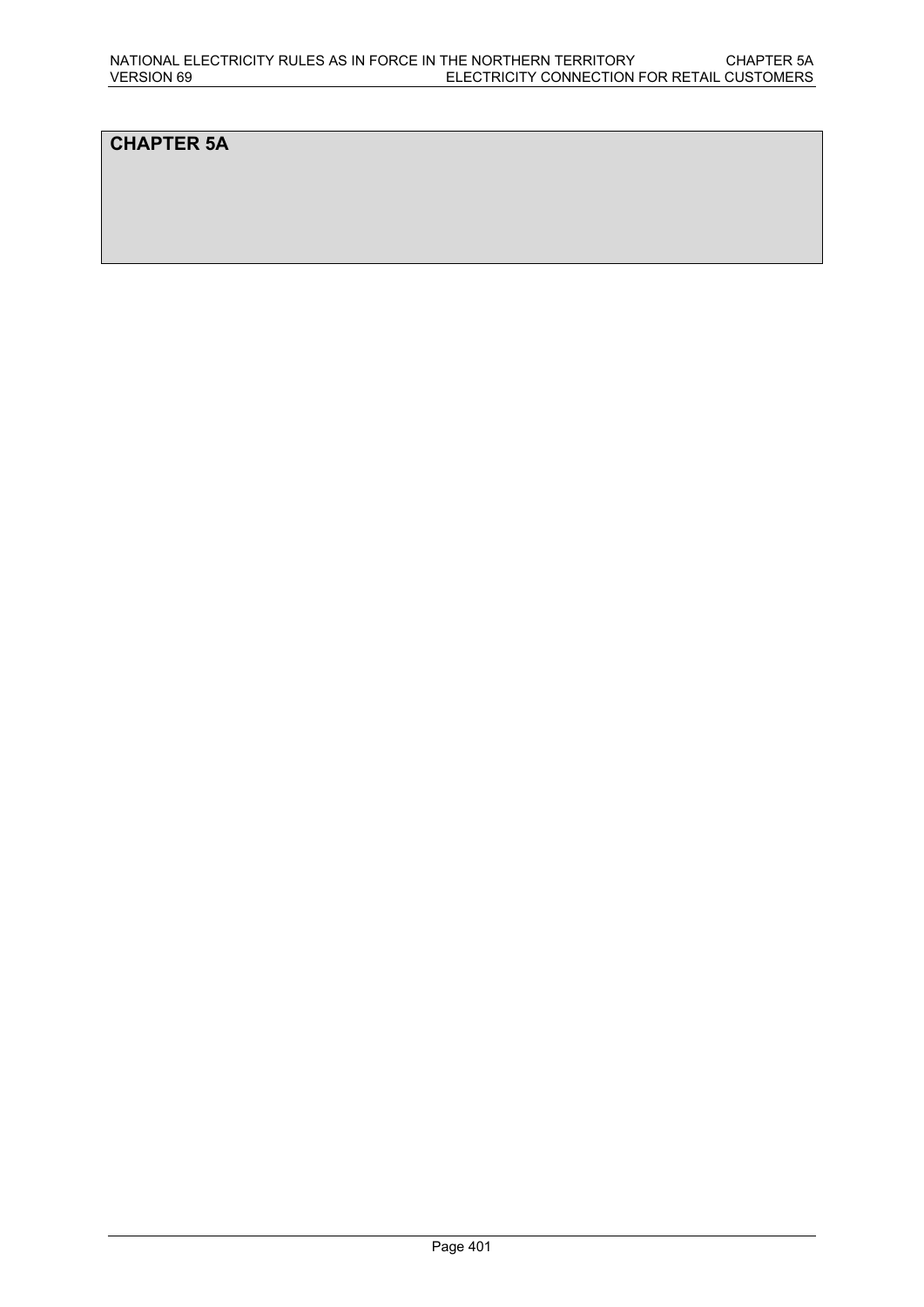# **CHAPTER 5A**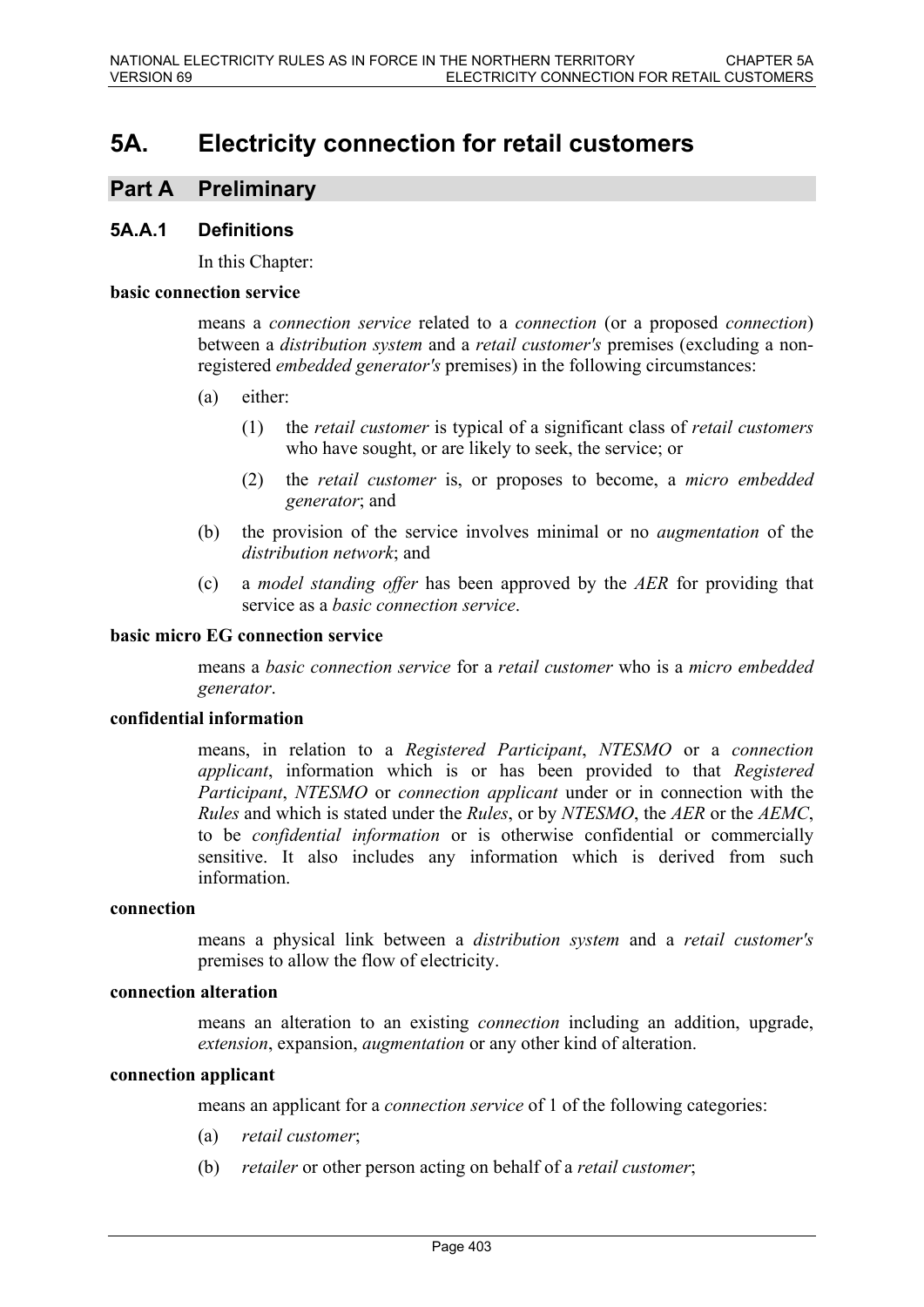# **5A. Electricity connection for retail customers**

# **Part A Preliminary**

### **5A.A.1 Definitions**

In this Chapter:

#### **basic connection service**

means a *connection service* related to a *connection* (or a proposed *connection*) between a *distribution system* and a *retail customer's* premises (excluding a nonregistered *embedded generator's* premises) in the following circumstances:

- (a) either:
	- (1) the *retail customer* is typical of a significant class of *retail customers*  who have sought, or are likely to seek, the service; or
	- (2) the *retail customer* is, or proposes to become, a *micro embedded generator*; and
- (b) the provision of the service involves minimal or no *augmentation* of the *distribution network*; and
- (c) a *model standing offer* has been approved by the *AER* for providing that service as a *basic connection service*.

#### **basic micro EG connection service**

means a *basic connection service* for a *retail customer* who is a *micro embedded generator*.

#### **confidential information**

means, in relation to a *Registered Participant*, *NTESMO* or a *connection applicant*, information which is or has been provided to that *Registered Participant*, *NTESMO* or *connection applicant* under or in connection with the *Rules* and which is stated under the *Rules*, or by *NTESMO*, the *AER* or the *AEMC*, to be *confidential information* or is otherwise confidential or commercially sensitive. It also includes any information which is derived from such information.

#### **connection**

means a physical link between a *distribution system* and a *retail customer's*  premises to allow the flow of electricity.

#### **connection alteration**

means an alteration to an existing *connection* including an addition, upgrade, *extension*, expansion, *augmentation* or any other kind of alteration.

#### **connection applicant**

means an applicant for a *connection service* of 1 of the following categories:

- (a) *retail customer*;
- (b) *retailer* or other person acting on behalf of a *retail customer*;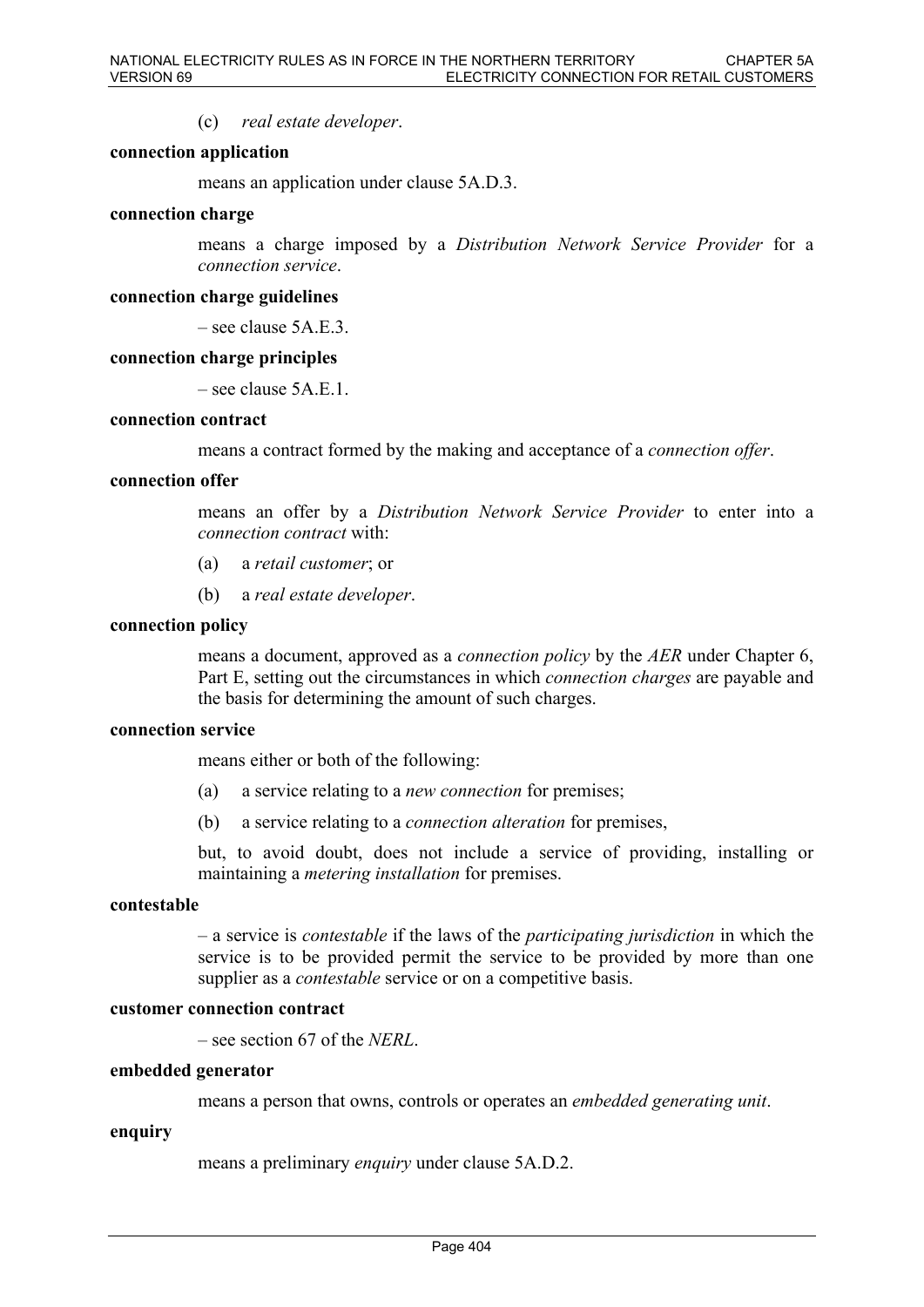(c) *real estate developer*.

#### **connection application**

means an application under clause 5A.D.3.

#### **connection charge**

means a charge imposed by a *Distribution Network Service Provider* for a *connection service*.

#### **connection charge guidelines**

– see clause 5A.E.3.

#### **connection charge principles**

 $-$  see clause 5A E 1.

#### **connection contract**

means a contract formed by the making and acceptance of a *connection offer*.

#### **connection offer**

means an offer by a *Distribution Network Service Provider* to enter into a *connection contract* with:

- (a) a *retail customer*; or
- (b) a *real estate developer*.

#### **connection policy**

means a document, approved as a *connection policy* by the *AER* under Chapter 6, Part E, setting out the circumstances in which *connection charges* are payable and the basis for determining the amount of such charges.

#### **connection service**

means either or both of the following:

- (a) a service relating to a *new connection* for premises;
- (b) a service relating to a *connection alteration* for premises,

but, to avoid doubt, does not include a service of providing, installing or maintaining a *metering installation* for premises.

#### **contestable**

– a service is *contestable* if the laws of the *participating jurisdiction* in which the service is to be provided permit the service to be provided by more than one supplier as a *contestable* service or on a competitive basis.

#### **customer connection contract**

– see section 67 of the *NERL*.

#### **embedded generator**

means a person that owns, controls or operates an *embedded generating unit*.

#### **enquiry**

means a preliminary *enquiry* under clause 5A.D.2.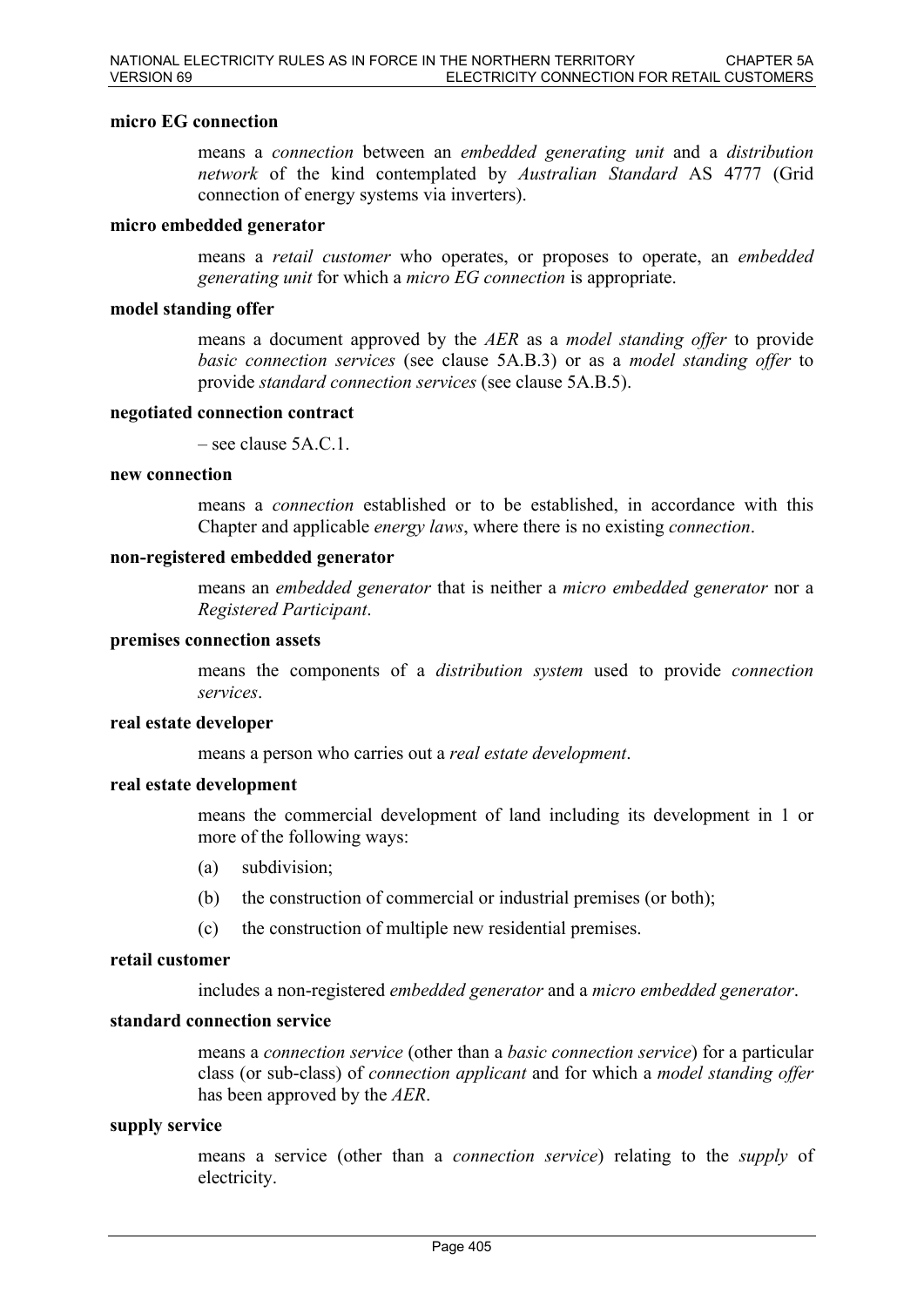#### **micro EG connection**

means a *connection* between an *embedded generating unit* and a *distribution network* of the kind contemplated by *Australian Standard* AS 4777 (Grid connection of energy systems via inverters).

#### **micro embedded generator**

means a *retail customer* who operates, or proposes to operate, an *embedded generating unit* for which a *micro EG connection* is appropriate.

#### **model standing offer**

means a document approved by the *AER* as a *model standing offer* to provide *basic connection services* (see clause 5A.B.3) or as a *model standing offer* to provide *standard connection services* (see clause 5A.B.5).

#### **negotiated connection contract**

– see clause 5A.C.1.

#### **new connection**

means a *connection* established or to be established, in accordance with this Chapter and applicable *energy laws*, where there is no existing *connection*.

#### **non-registered embedded generator**

means an *embedded generator* that is neither a *micro embedded generator* nor a *Registered Participant*.

#### **premises connection assets**

means the components of a *distribution system* used to provide *connection services*.

#### **real estate developer**

means a person who carries out a *real estate development*.

#### **real estate development**

means the commercial development of land including its development in 1 or more of the following ways:

- (a) subdivision;
- (b) the construction of commercial or industrial premises (or both);
- (c) the construction of multiple new residential premises.

### **retail customer**

includes a non-registered *embedded generator* and a *micro embedded generator*.

#### **standard connection service**

means a *connection service* (other than a *basic connection service*) for a particular class (or sub-class) of *connection applicant* and for which a *model standing offer* has been approved by the *AER*.

#### **supply service**

means a service (other than a *connection service*) relating to the *supply* of electricity.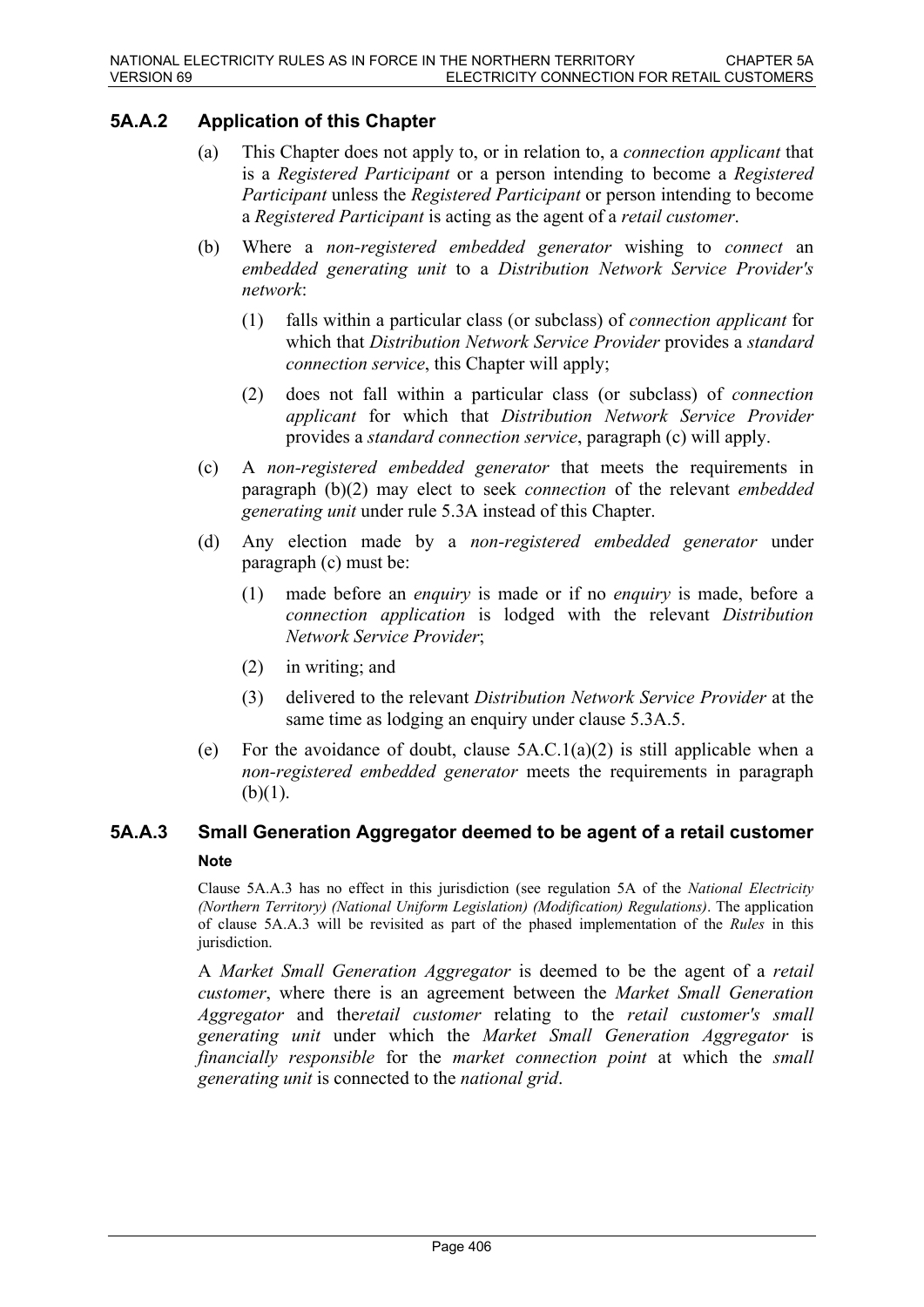# **5A.A.2 Application of this Chapter**

- (a) This Chapter does not apply to, or in relation to, a *connection applicant* that is a *Registered Participant* or a person intending to become a *Registered Participant* unless the *Registered Participant* or person intending to become a *Registered Participant* is acting as the agent of a *retail customer*.
- (b) Where a *non-registered embedded generator* wishing to *connect* an *embedded generating unit* to a *Distribution Network Service Provider's network*:
	- (1) falls within a particular class (or subclass) of *connection applicant* for which that *Distribution Network Service Provider* provides a *standard connection service*, this Chapter will apply;
	- (2) does not fall within a particular class (or subclass) of *connection applicant* for which that *Distribution Network Service Provider* provides a *standard connection service*, paragraph (c) will apply.
- (c) A *non-registered embedded generator* that meets the requirements in paragraph (b)(2) may elect to seek *connection* of the relevant *embedded generating unit* under rule 5.3A instead of this Chapter.
- (d) Any election made by a *non-registered embedded generator* under paragraph (c) must be:
	- (1) made before an *enquiry* is made or if no *enquiry* is made, before a *connection application* is lodged with the relevant *Distribution Network Service Provider*;
	- (2) in writing; and
	- (3) delivered to the relevant *Distribution Network Service Provider* at the same time as lodging an enquiry under clause 5.3A.5.
- (e) For the avoidance of doubt, clause  $5A.C.1(a)(2)$  is still applicable when a *non-registered embedded generator* meets the requirements in paragraph  $(b)(1)$ .

# **5A.A.3 Small Generation Aggregator deemed to be agent of a retail customer Note**

Clause 5A.A.3 has no effect in this jurisdiction (see regulation 5A of the *National Electricity (Northern Territory) (National Uniform Legislation) (Modification) Regulations)*. The application of clause 5A.A.3 will be revisited as part of the phased implementation of the *Rules* in this jurisdiction.

A *Market Small Generation Aggregator* is deemed to be the agent of a *retail customer*, where there is an agreement between the *Market Small Generation Aggregator* and the*retail customer* relating to the *retail customer's small generating unit* under which the *Market Small Generation Aggregator* is *financially responsible* for the *market connection point* at which the *small generating unit* is connected to the *national grid*.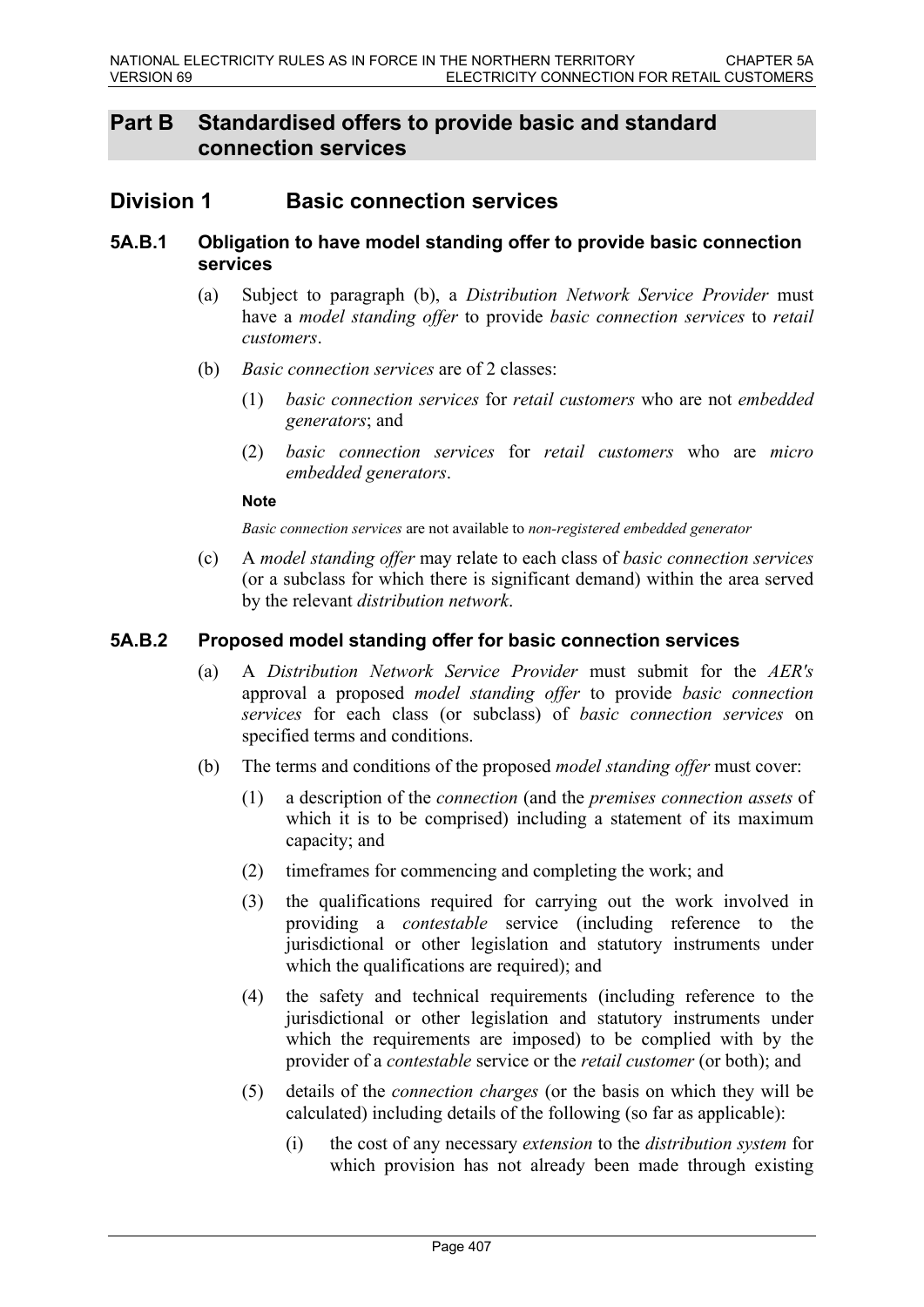# **Part B Standardised offers to provide basic and standard connection services**

# **Division 1 Basic connection services**

### **5A.B.1 Obligation to have model standing offer to provide basic connection services**

- (a) Subject to paragraph (b), a *Distribution Network Service Provider* must have a *model standing offer* to provide *basic connection services* to *retail customers*.
- (b) *Basic connection services* are of 2 classes:
	- (1) *basic connection services* for *retail customers* who are not *embedded generators*; and
	- (2) *basic connection services* for *retail customers* who are *micro embedded generators*.

#### **Note**

*Basic connection services* are not available to *non-registered embedded generator*

(c) A *model standing offer* may relate to each class of *basic connection services* (or a subclass for which there is significant demand) within the area served by the relevant *distribution network*.

## **5A.B.2 Proposed model standing offer for basic connection services**

- (a) A *Distribution Network Service Provider* must submit for the *AER's* approval a proposed *model standing offer* to provide *basic connection services* for each class (or subclass) of *basic connection services* on specified terms and conditions.
- (b) The terms and conditions of the proposed *model standing offer* must cover:
	- (1) a description of the *connection* (and the *premises connection assets* of which it is to be comprised) including a statement of its maximum capacity; and
	- (2) timeframes for commencing and completing the work; and
	- (3) the qualifications required for carrying out the work involved in providing a *contestable* service (including reference to the jurisdictional or other legislation and statutory instruments under which the qualifications are required); and
	- (4) the safety and technical requirements (including reference to the jurisdictional or other legislation and statutory instruments under which the requirements are imposed) to be complied with by the provider of a *contestable* service or the *retail customer* (or both); and
	- (5) details of the *connection charges* (or the basis on which they will be calculated) including details of the following (so far as applicable):
		- (i) the cost of any necessary *extension* to the *distribution system* for which provision has not already been made through existing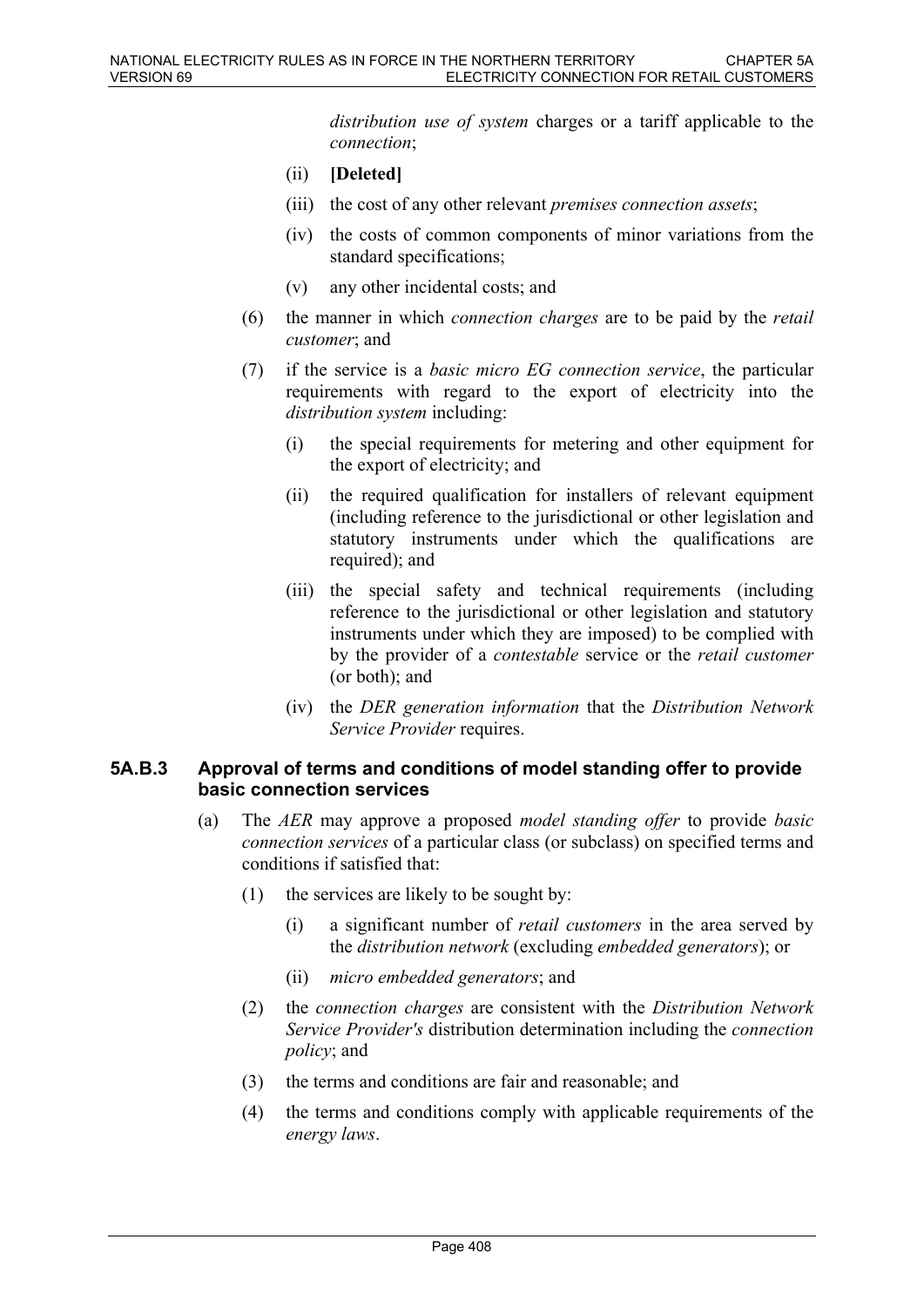*distribution use of system* charges or a tariff applicable to the *connection*;

- (ii) **[Deleted]**
- (iii) the cost of any other relevant *premises connection assets*;
- (iv) the costs of common components of minor variations from the standard specifications;
- (v) any other incidental costs; and
- (6) the manner in which *connection charges* are to be paid by the *retail customer*; and
- (7) if the service is a *basic micro EG connection service*, the particular requirements with regard to the export of electricity into the *distribution system* including:
	- (i) the special requirements for metering and other equipment for the export of electricity; and
	- (ii) the required qualification for installers of relevant equipment (including reference to the jurisdictional or other legislation and statutory instruments under which the qualifications are required); and
	- (iii) the special safety and technical requirements (including reference to the jurisdictional or other legislation and statutory instruments under which they are imposed) to be complied with by the provider of a *contestable* service or the *retail customer*  (or both); and
	- (iv) the *DER generation information* that the *Distribution Network Service Provider* requires.

## **5A.B.3 Approval of terms and conditions of model standing offer to provide basic connection services**

- (a) The *AER* may approve a proposed *model standing offer* to provide *basic connection services* of a particular class (or subclass) on specified terms and conditions if satisfied that:
	- (1) the services are likely to be sought by:
		- (i) a significant number of *retail customers* in the area served by the *distribution network* (excluding *embedded generators*); or
		- (ii) *micro embedded generators*; and
	- (2) the *connection charges* are consistent with the *Distribution Network Service Provider's* distribution determination including the *connection policy*; and
	- (3) the terms and conditions are fair and reasonable; and
	- (4) the terms and conditions comply with applicable requirements of the *energy laws*.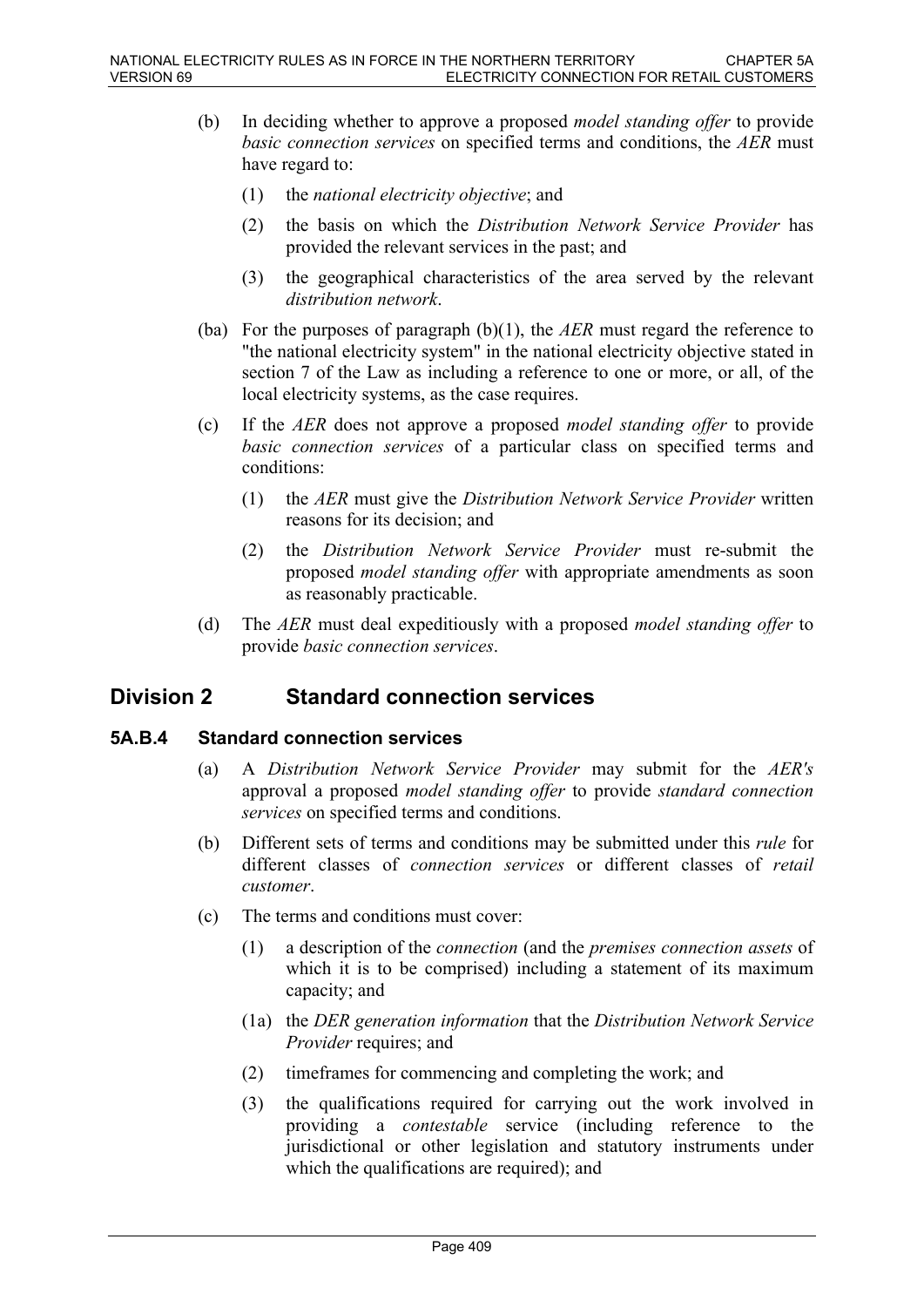- (b) In deciding whether to approve a proposed *model standing offer* to provide *basic connection services* on specified terms and conditions, the *AER* must have regard to:
	- (1) the *national electricity objective*; and
	- (2) the basis on which the *Distribution Network Service Provider* has provided the relevant services in the past; and
	- (3) the geographical characteristics of the area served by the relevant *distribution network*.
- (ba) For the purposes of paragraph (b)(1), the *AER* must regard the reference to "the national electricity system" in the national electricity objective stated in section 7 of the Law as including a reference to one or more, or all, of the local electricity systems, as the case requires.
- (c) If the *AER* does not approve a proposed *model standing offer* to provide *basic connection services* of a particular class on specified terms and conditions:
	- (1) the *AER* must give the *Distribution Network Service Provider* written reasons for its decision; and
	- (2) the *Distribution Network Service Provider* must re-submit the proposed *model standing offer* with appropriate amendments as soon as reasonably practicable.
- (d) The *AER* must deal expeditiously with a proposed *model standing offer* to provide *basic connection services*.

# **Division 2 Standard connection services**

## **5A.B.4 Standard connection services**

- (a) A *Distribution Network Service Provider* may submit for the *AER's* approval a proposed *model standing offer* to provide *standard connection services* on specified terms and conditions.
- (b) Different sets of terms and conditions may be submitted under this *rule* for different classes of *connection services* or different classes of *retail customer*.
- (c) The terms and conditions must cover:
	- (1) a description of the *connection* (and the *premises connection assets* of which it is to be comprised) including a statement of its maximum capacity; and
	- (1a) the *DER generation information* that the *Distribution Network Service Provider* requires; and
	- (2) timeframes for commencing and completing the work; and
	- (3) the qualifications required for carrying out the work involved in providing a *contestable* service (including reference to the jurisdictional or other legislation and statutory instruments under which the qualifications are required); and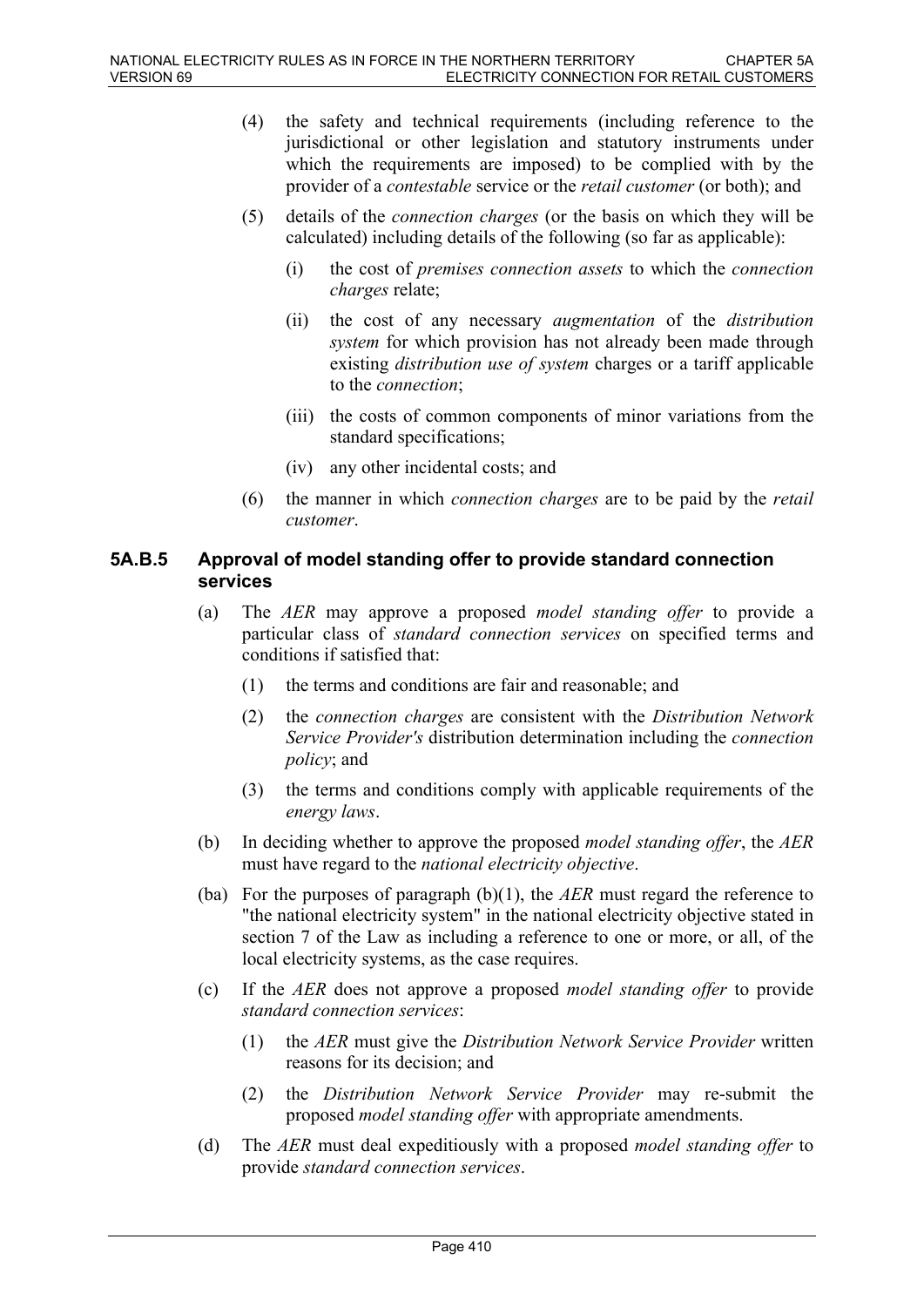- (4) the safety and technical requirements (including reference to the jurisdictional or other legislation and statutory instruments under which the requirements are imposed) to be complied with by the provider of a *contestable* service or the *retail customer* (or both); and
- (5) details of the *connection charges* (or the basis on which they will be calculated) including details of the following (so far as applicable):
	- (i) the cost of *premises connection assets* to which the *connection charges* relate;
	- (ii) the cost of any necessary *augmentation* of the *distribution system* for which provision has not already been made through existing *distribution use of system* charges or a tariff applicable to the *connection*;
	- (iii) the costs of common components of minor variations from the standard specifications;
	- (iv) any other incidental costs; and
- (6) the manner in which *connection charges* are to be paid by the *retail customer*.

## **5A.B.5 Approval of model standing offer to provide standard connection services**

- (a) The *AER* may approve a proposed *model standing offer* to provide a particular class of *standard connection services* on specified terms and conditions if satisfied that:
	- (1) the terms and conditions are fair and reasonable; and
	- (2) the *connection charges* are consistent with the *Distribution Network Service Provider's* distribution determination including the *connection policy*; and
	- (3) the terms and conditions comply with applicable requirements of the *energy laws*.
- (b) In deciding whether to approve the proposed *model standing offer*, the *AER* must have regard to the *national electricity objective*.
- (ba) For the purposes of paragraph (b)(1), the *AER* must regard the reference to "the national electricity system" in the national electricity objective stated in section 7 of the Law as including a reference to one or more, or all, of the local electricity systems, as the case requires.
- (c) If the *AER* does not approve a proposed *model standing offer* to provide *standard connection services*:
	- (1) the *AER* must give the *Distribution Network Service Provider* written reasons for its decision; and
	- (2) the *Distribution Network Service Provider* may re-submit the proposed *model standing offer* with appropriate amendments.
- (d) The *AER* must deal expeditiously with a proposed *model standing offer* to provide *standard connection services*.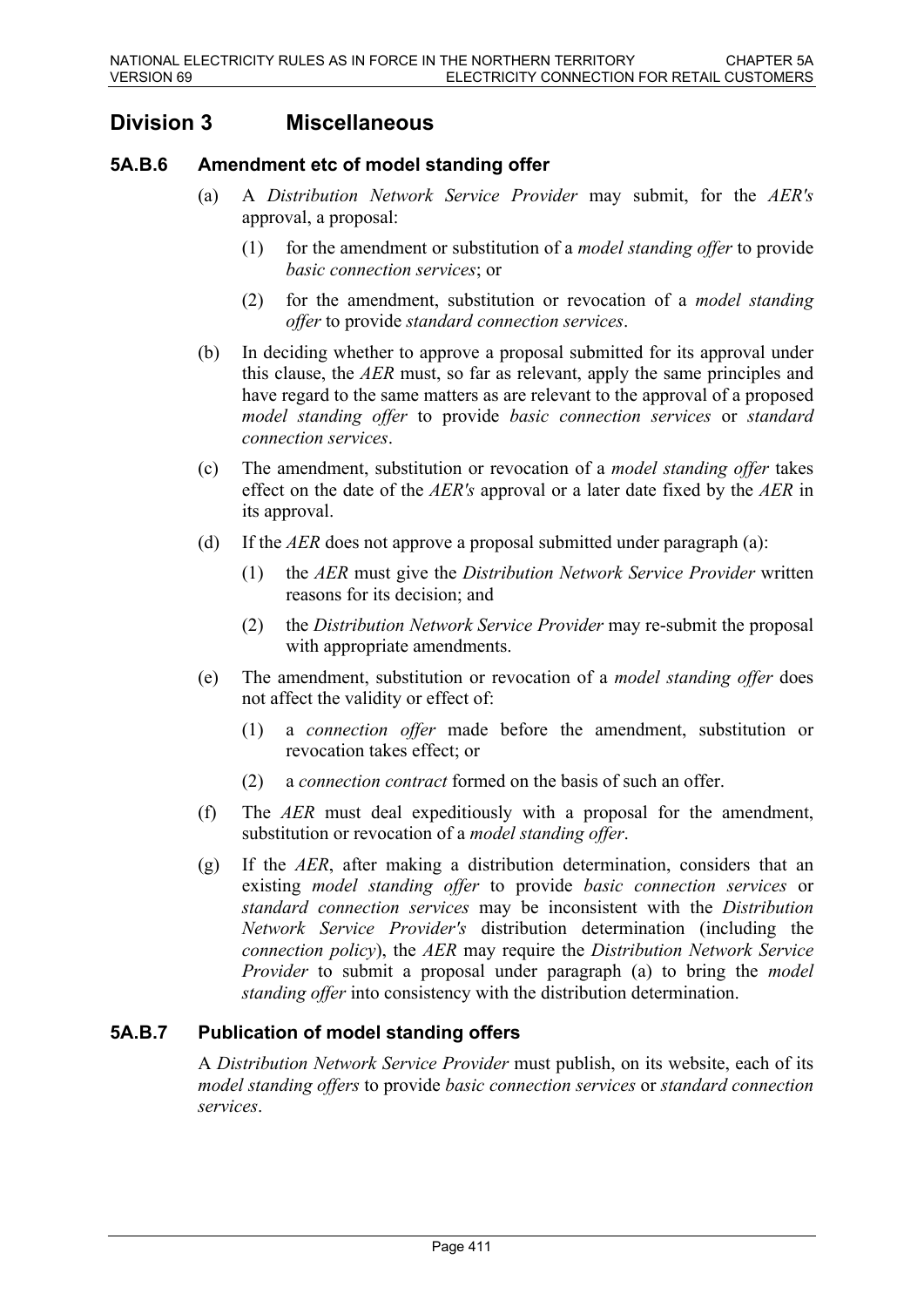# **Division 3 Miscellaneous**

# **5A.B.6 Amendment etc of model standing offer**

- (a) A *Distribution Network Service Provider* may submit, for the *AER's* approval, a proposal:
	- (1) for the amendment or substitution of a *model standing offer* to provide *basic connection services*; or
	- (2) for the amendment, substitution or revocation of a *model standing offer* to provide *standard connection services*.
- (b) In deciding whether to approve a proposal submitted for its approval under this clause, the *AER* must, so far as relevant, apply the same principles and have regard to the same matters as are relevant to the approval of a proposed *model standing offer* to provide *basic connection services* or *standard connection services*.
- (c) The amendment, substitution or revocation of a *model standing offer* takes effect on the date of the *AER's* approval or a later date fixed by the *AER* in its approval.
- (d) If the *AER* does not approve a proposal submitted under paragraph (a):
	- (1) the *AER* must give the *Distribution Network Service Provider* written reasons for its decision; and
	- (2) the *Distribution Network Service Provider* may re-submit the proposal with appropriate amendments.
- (e) The amendment, substitution or revocation of a *model standing offer* does not affect the validity or effect of:
	- (1) a *connection offer* made before the amendment, substitution or revocation takes effect; or
	- (2) a *connection contract* formed on the basis of such an offer.
- (f) The *AER* must deal expeditiously with a proposal for the amendment, substitution or revocation of a *model standing offer*.
- (g) If the *AER*, after making a distribution determination, considers that an existing *model standing offer* to provide *basic connection services* or *standard connection services* may be inconsistent with the *Distribution Network Service Provider's* distribution determination (including the *connection policy*), the *AER* may require the *Distribution Network Service Provider* to submit a proposal under paragraph (a) to bring the *model standing offer* into consistency with the distribution determination.

## **5A.B.7 Publication of model standing offers**

A *Distribution Network Service Provider* must publish, on its website, each of its *model standing offers* to provide *basic connection services* or *standard connection services*.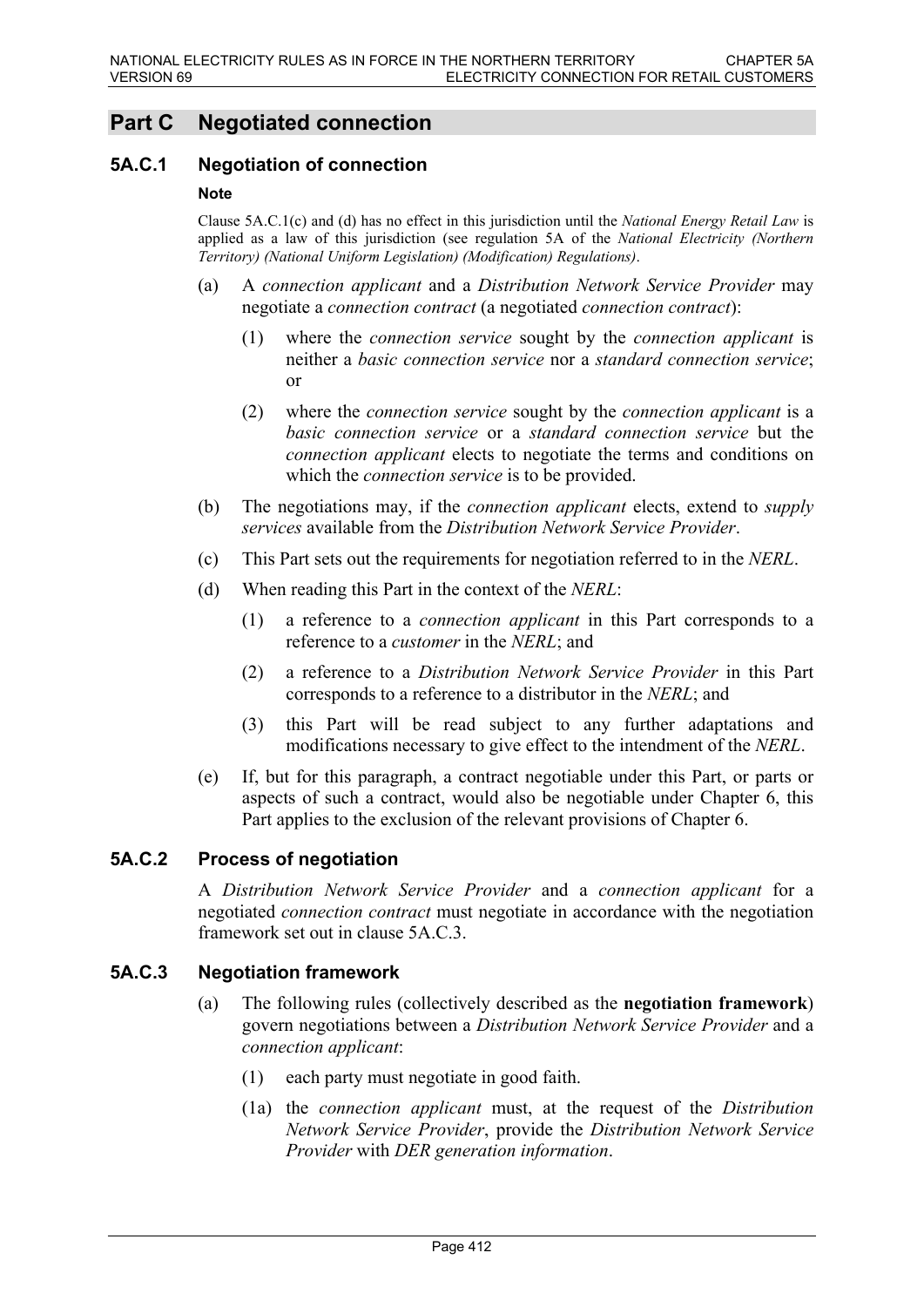# **Part C Negotiated connection**

### **5A.C.1 Negotiation of connection**

#### **Note**

Clause 5A.C.1(c) and (d) has no effect in this jurisdiction until the *National Energy Retail Law* is applied as a law of this jurisdiction (see regulation 5A of the *National Electricity (Northern Territory) (National Uniform Legislation) (Modification) Regulations)*.

- (a) A *connection applicant* and a *Distribution Network Service Provider* may negotiate a *connection contract* (a negotiated *connection contract*):
	- (1) where the *connection service* sought by the *connection applicant* is neither a *basic connection service* nor a *standard connection service*; or
	- (2) where the *connection service* sought by the *connection applicant* is a *basic connection service* or a *standard connection service* but the *connection applicant* elects to negotiate the terms and conditions on which the *connection service* is to be provided.
- (b) The negotiations may, if the *connection applicant* elects, extend to *supply services* available from the *Distribution Network Service Provider*.
- (c) This Part sets out the requirements for negotiation referred to in the *NERL*.
- (d) When reading this Part in the context of the *NERL*:
	- (1) a reference to a *connection applicant* in this Part corresponds to a reference to a *customer* in the *NERL*; and
	- (2) a reference to a *Distribution Network Service Provider* in this Part corresponds to a reference to a distributor in the *NERL*; and
	- (3) this Part will be read subject to any further adaptations and modifications necessary to give effect to the intendment of the *NERL*.
- (e) If, but for this paragraph, a contract negotiable under this Part, or parts or aspects of such a contract, would also be negotiable under Chapter 6, this Part applies to the exclusion of the relevant provisions of Chapter 6.

## **5A.C.2 Process of negotiation**

A *Distribution Network Service Provider* and a *connection applicant* for a negotiated *connection contract* must negotiate in accordance with the negotiation framework set out in clause 5A.C.3.

### **5A.C.3 Negotiation framework**

- (a) The following rules (collectively described as the **negotiation framework**) govern negotiations between a *Distribution Network Service Provider* and a *connection applicant*:
	- (1) each party must negotiate in good faith.
	- (1a) the *connection applicant* must, at the request of the *Distribution Network Service Provider*, provide the *Distribution Network Service Provider* with *DER generation information*.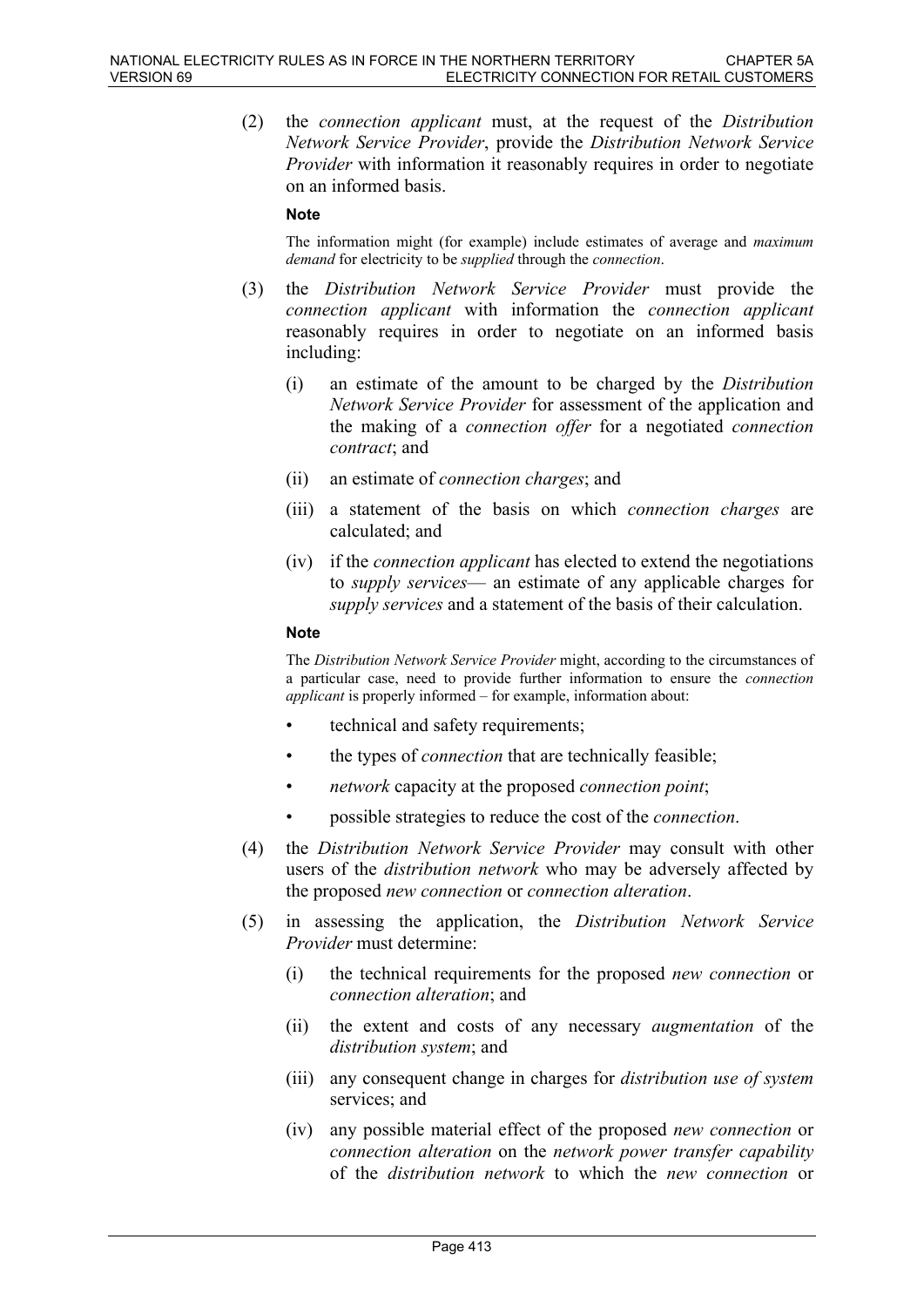(2) the *connection applicant* must, at the request of the *Distribution Network Service Provider*, provide the *Distribution Network Service Provider* with information it reasonably requires in order to negotiate on an informed basis.

#### **Note**

The information might (for example) include estimates of average and *maximum demand* for electricity to be *supplied* through the *connection*.

- (3) the *Distribution Network Service Provider* must provide the *connection applicant* with information the *connection applicant* reasonably requires in order to negotiate on an informed basis including:
	- (i) an estimate of the amount to be charged by the *Distribution Network Service Provider* for assessment of the application and the making of a *connection offer* for a negotiated *connection contract*; and
	- (ii) an estimate of *connection charges*; and
	- (iii) a statement of the basis on which *connection charges* are calculated; and
	- (iv) if the *connection applicant* has elected to extend the negotiations to *supply services*— an estimate of any applicable charges for *supply services* and a statement of the basis of their calculation.

#### **Note**

The *Distribution Network Service Provider* might, according to the circumstances of a particular case, need to provide further information to ensure the *connection applicant* is properly informed – for example, information about:

- technical and safety requirements;
- the types of *connection* that are technically feasible;
- *network* capacity at the proposed *connection point*;
- possible strategies to reduce the cost of the *connection*.
- (4) the *Distribution Network Service Provider* may consult with other users of the *distribution network* who may be adversely affected by the proposed *new connection* or *connection alteration*.
- (5) in assessing the application, the *Distribution Network Service Provider* must determine:
	- (i) the technical requirements for the proposed *new connection* or *connection alteration*; and
	- (ii) the extent and costs of any necessary *augmentation* of the *distribution system*; and
	- (iii) any consequent change in charges for *distribution use of system* services; and
	- (iv) any possible material effect of the proposed *new connection* or *connection alteration* on the *network power transfer capability* of the *distribution network* to which the *new connection* or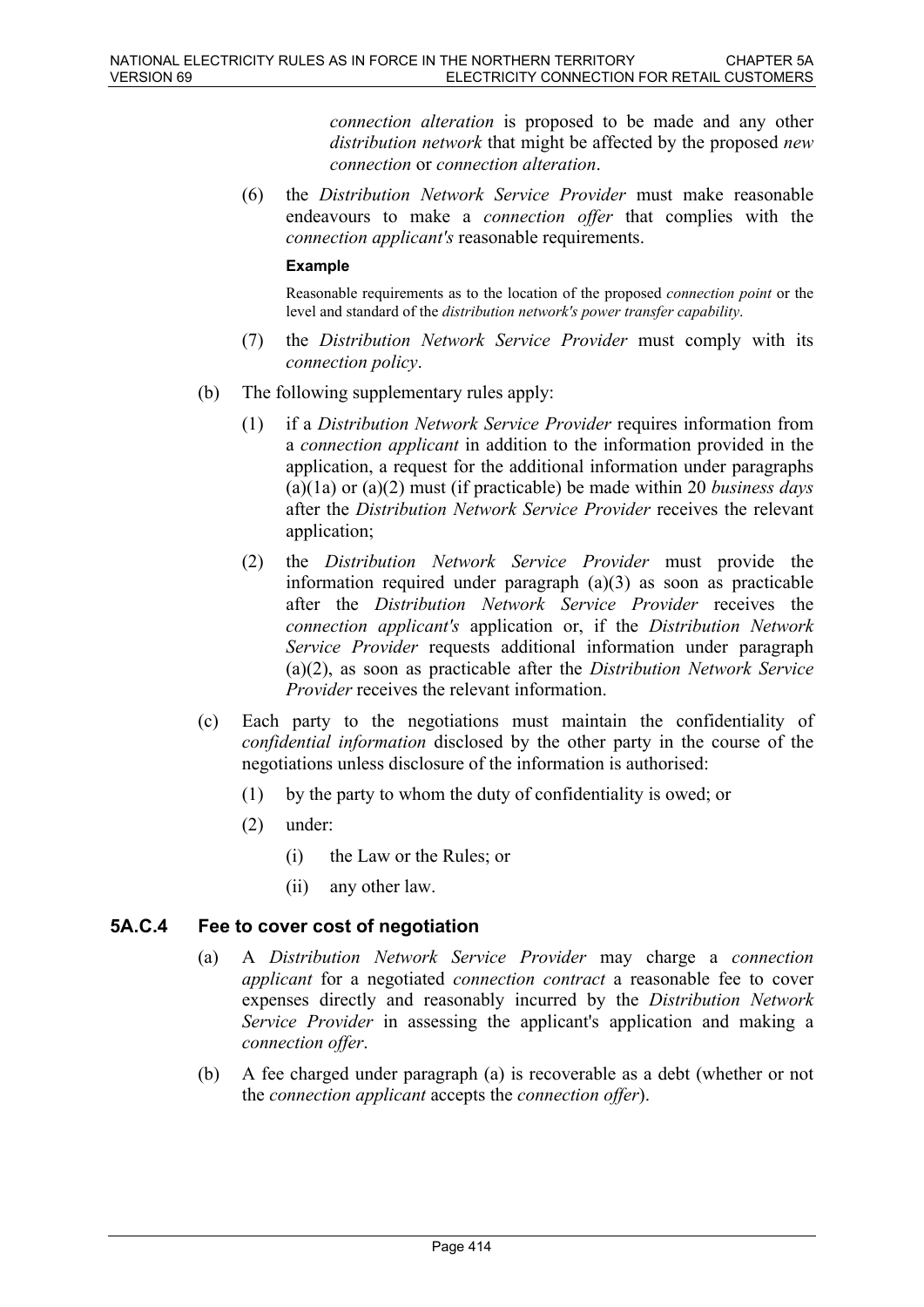*connection alteration* is proposed to be made and any other *distribution network* that might be affected by the proposed *new connection* or *connection alteration*.

(6) the *Distribution Network Service Provider* must make reasonable endeavours to make a *connection offer* that complies with the *connection applicant's* reasonable requirements.

#### **Example**

Reasonable requirements as to the location of the proposed *connection point* or the level and standard of the *distribution network's power transfer capability*.

- (7) the *Distribution Network Service Provider* must comply with its *connection policy*.
- (b) The following supplementary rules apply:
	- (1) if a *Distribution Network Service Provider* requires information from a *connection applicant* in addition to the information provided in the application, a request for the additional information under paragraphs (a)(1a) or (a)(2) must (if practicable) be made within 20 *business days* after the *Distribution Network Service Provider* receives the relevant application;
	- (2) the *Distribution Network Service Provider* must provide the information required under paragraph (a)(3) as soon as practicable after the *Distribution Network Service Provider* receives the *connection applicant's* application or, if the *Distribution Network Service Provider* requests additional information under paragraph (a)(2), as soon as practicable after the *Distribution Network Service Provider* receives the relevant information.
- (c) Each party to the negotiations must maintain the confidentiality of *confidential information* disclosed by the other party in the course of the negotiations unless disclosure of the information is authorised:
	- (1) by the party to whom the duty of confidentiality is owed; or
	- (2) under:
		- (i) the Law or the Rules; or
		- (ii) any other law.

## **5A.C.4 Fee to cover cost of negotiation**

- (a) A *Distribution Network Service Provider* may charge a *connection applicant* for a negotiated *connection contract* a reasonable fee to cover expenses directly and reasonably incurred by the *Distribution Network Service Provider* in assessing the applicant's application and making a *connection offer*.
- (b) A fee charged under paragraph (a) is recoverable as a debt (whether or not the *connection applicant* accepts the *connection offer*).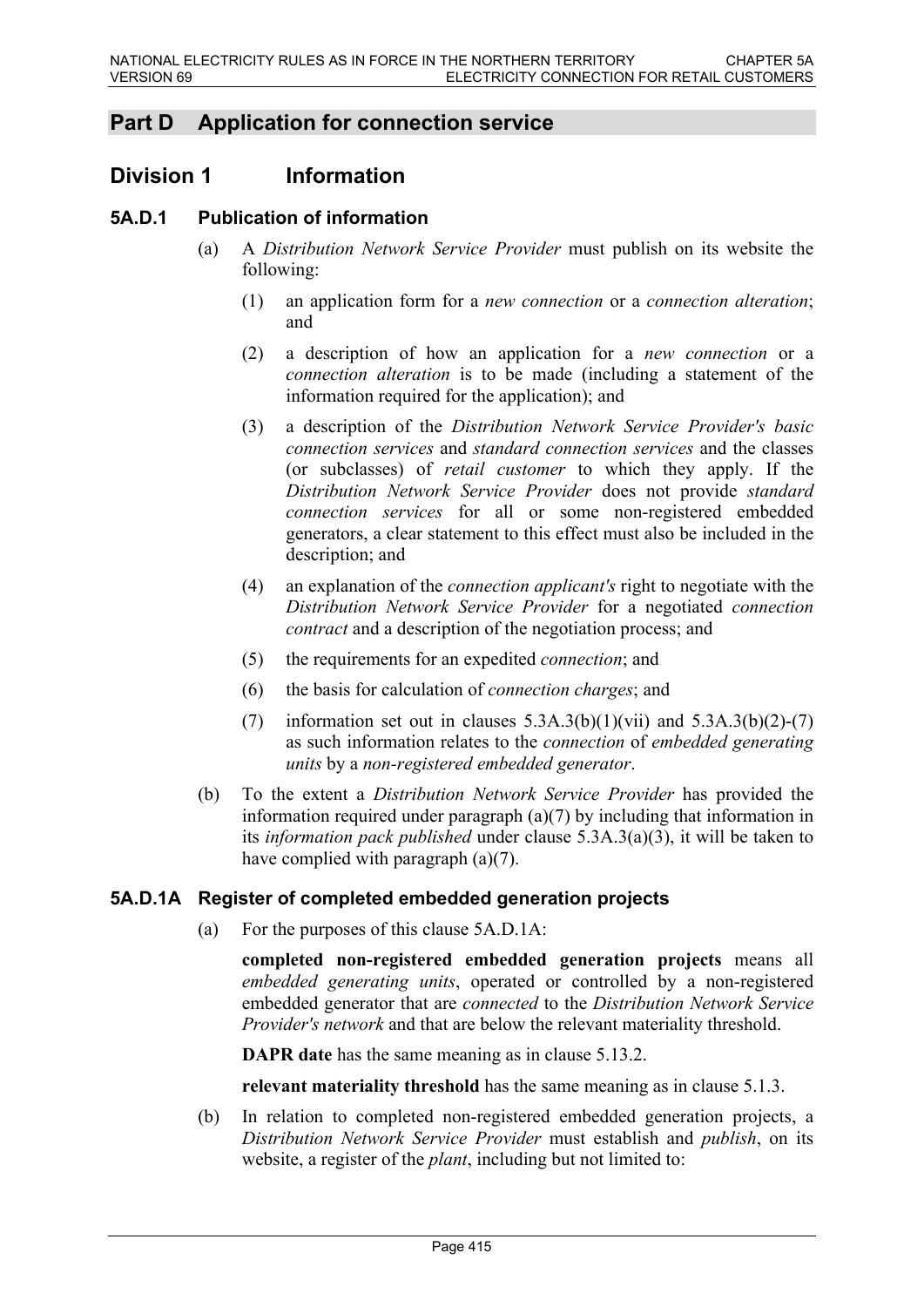# **Part D Application for connection service**

# **Division 1 Information**

# **5A.D.1 Publication of information**

- (a) A *Distribution Network Service Provider* must publish on its website the following:
	- (1) an application form for a *new connection* or a *connection alteration*; and
	- (2) a description of how an application for a *new connection* or a *connection alteration* is to be made (including a statement of the information required for the application); and
	- (3) a description of the *Distribution Network Service Provider's basic connection services* and *standard connection services* and the classes (or subclasses) of *retail customer* to which they apply. If the *Distribution Network Service Provider* does not provide *standard connection services* for all or some non-registered embedded generators, a clear statement to this effect must also be included in the description; and
	- (4) an explanation of the *connection applicant's* right to negotiate with the *Distribution Network Service Provider* for a negotiated *connection contract* and a description of the negotiation process; and
	- (5) the requirements for an expedited *connection*; and
	- (6) the basis for calculation of *connection charges*; and
	- (7) information set out in clauses  $5.3A.3(b)(1)(vii)$  and  $5.3A.3(b)(2)-(7)$ as such information relates to the *connection* of *embedded generating units* by a *non-registered embedded generator*.
- (b) To the extent a *Distribution Network Service Provider* has provided the information required under paragraph (a)(7) by including that information in its *information pack published* under clause 5.3A.3(a)(3), it will be taken to have complied with paragraph (a)(7).

## **5A.D.1A Register of completed embedded generation projects**

(a) For the purposes of this clause 5A.D.1A:

**completed non-registered embedded generation projects** means all *embedded generating units*, operated or controlled by a non-registered embedded generator that are *connected* to the *Distribution Network Service Provider's network* and that are below the relevant materiality threshold.

**DAPR date** has the same meaning as in clause 5.13.2.

**relevant materiality threshold** has the same meaning as in clause 5.1.3.

(b) In relation to completed non-registered embedded generation projects, a *Distribution Network Service Provider* must establish and *publish*, on its website, a register of the *plant*, including but not limited to: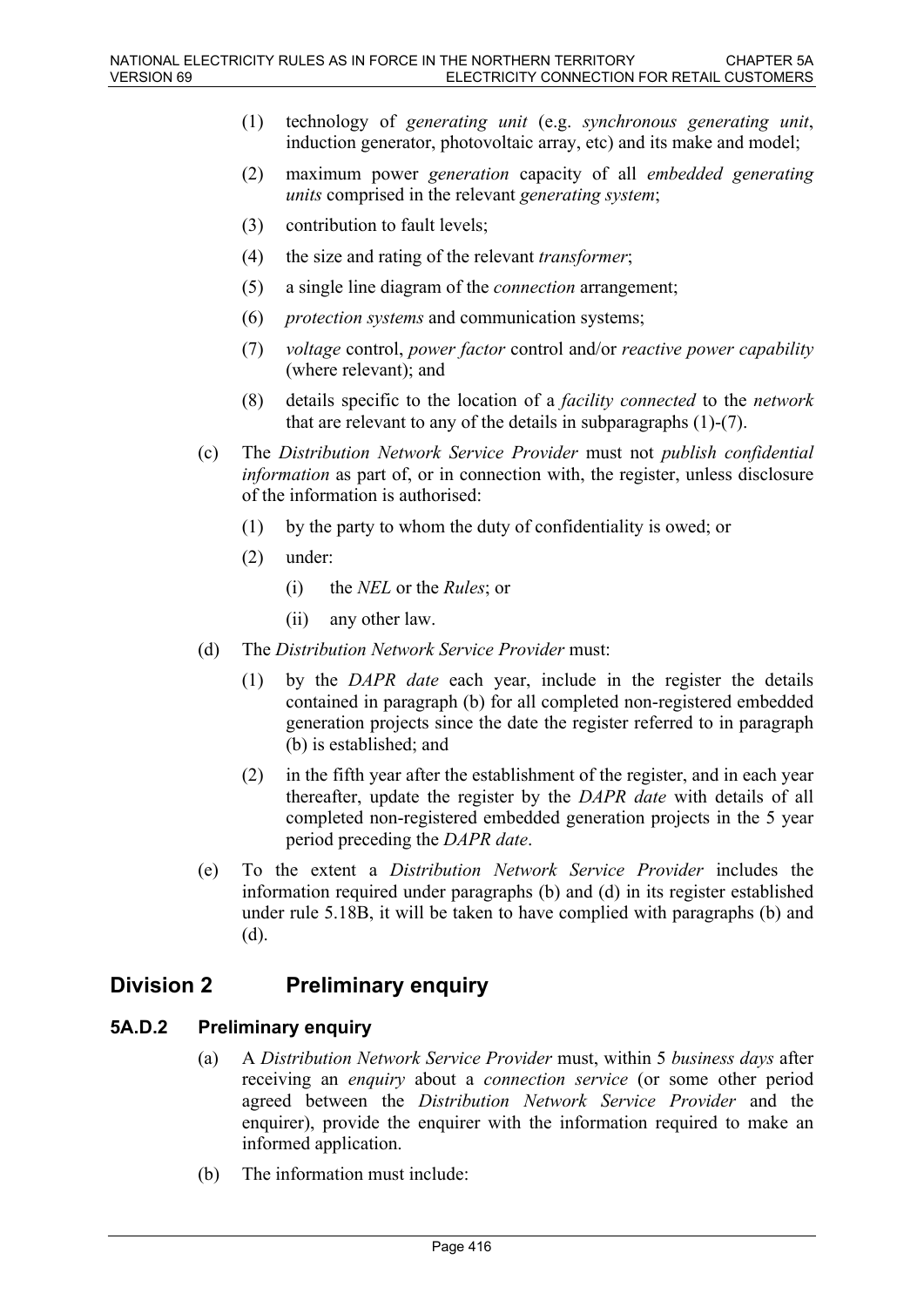- (1) technology of *generating unit* (e.g. *synchronous generating unit*, induction generator, photovoltaic array, etc) and its make and model;
- (2) maximum power *generation* capacity of all *embedded generating units* comprised in the relevant *generating system*;
- (3) contribution to fault levels;
- (4) the size and rating of the relevant *transformer*;
- (5) a single line diagram of the *connection* arrangement;
- (6) *protection systems* and communication systems;
- (7) *voltage* control, *power factor* control and/or *reactive power capability* (where relevant); and
- (8) details specific to the location of a *facility connected* to the *network* that are relevant to any of the details in subparagraphs (1)-(7).
- (c) The *Distribution Network Service Provider* must not *publish confidential information* as part of, or in connection with, the register, unless disclosure of the information is authorised:
	- (1) by the party to whom the duty of confidentiality is owed; or
	- (2) under:
		- (i) the *NEL* or the *Rules*; or
		- (ii) any other law.
- (d) The *Distribution Network Service Provider* must:
	- (1) by the *DAPR date* each year, include in the register the details contained in paragraph (b) for all completed non-registered embedded generation projects since the date the register referred to in paragraph (b) is established; and
	- (2) in the fifth year after the establishment of the register, and in each year thereafter, update the register by the *DAPR date* with details of all completed non-registered embedded generation projects in the 5 year period preceding the *DAPR date*.
- (e) To the extent a *Distribution Network Service Provider* includes the information required under paragraphs (b) and (d) in its register established under rule 5.18B, it will be taken to have complied with paragraphs (b) and (d).

# **Division 2 Preliminary enquiry**

## **5A.D.2 Preliminary enquiry**

- (a) A *Distribution Network Service Provider* must, within 5 *business days* after receiving an *enquiry* about a *connection service* (or some other period agreed between the *Distribution Network Service Provider* and the enquirer), provide the enquirer with the information required to make an informed application.
- (b) The information must include: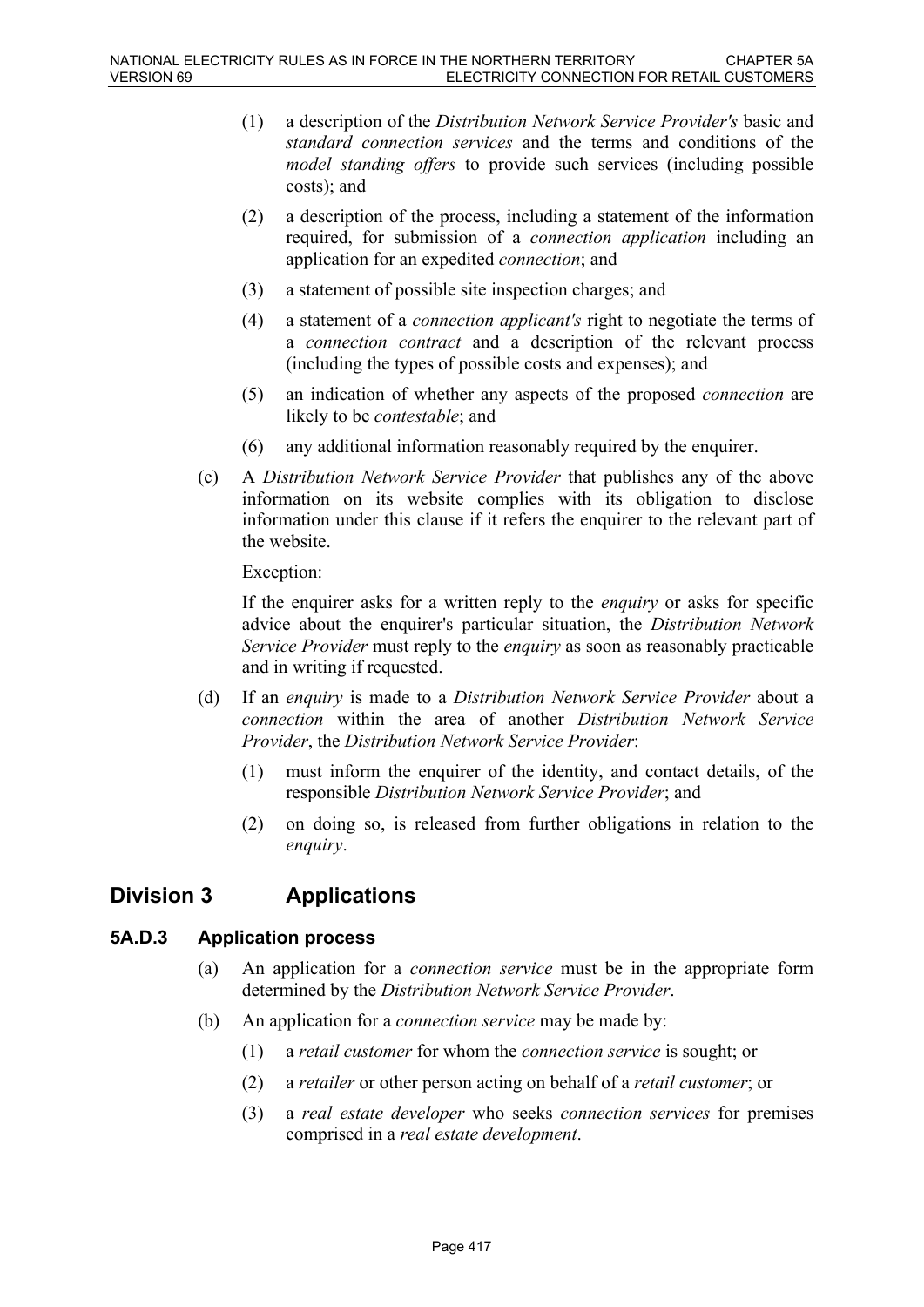- (1) a description of the *Distribution Network Service Provider's* basic and *standard connection services* and the terms and conditions of the *model standing offers* to provide such services (including possible costs); and
- (2) a description of the process, including a statement of the information required, for submission of a *connection application* including an application for an expedited *connection*; and
- (3) a statement of possible site inspection charges; and
- (4) a statement of a *connection applicant's* right to negotiate the terms of a *connection contract* and a description of the relevant process (including the types of possible costs and expenses); and
- (5) an indication of whether any aspects of the proposed *connection* are likely to be *contestable*; and
- (6) any additional information reasonably required by the enquirer.
- (c) A *Distribution Network Service Provider* that publishes any of the above information on its website complies with its obligation to disclose information under this clause if it refers the enquirer to the relevant part of the website.

Exception:

If the enquirer asks for a written reply to the *enquiry* or asks for specific advice about the enquirer's particular situation, the *Distribution Network Service Provider* must reply to the *enquiry* as soon as reasonably practicable and in writing if requested.

- (d) If an *enquiry* is made to a *Distribution Network Service Provider* about a *connection* within the area of another *Distribution Network Service Provider*, the *Distribution Network Service Provider*:
	- (1) must inform the enquirer of the identity, and contact details, of the responsible *Distribution Network Service Provider*; and
	- (2) on doing so, is released from further obligations in relation to the *enquiry*.

# **Division 3 Applications**

## **5A.D.3 Application process**

- (a) An application for a *connection service* must be in the appropriate form determined by the *Distribution Network Service Provider*.
- (b) An application for a *connection service* may be made by:
	- (1) a *retail customer* for whom the *connection service* is sought; or
	- (2) a *retailer* or other person acting on behalf of a *retail customer*; or
	- (3) a *real estate developer* who seeks *connection services* for premises comprised in a *real estate development*.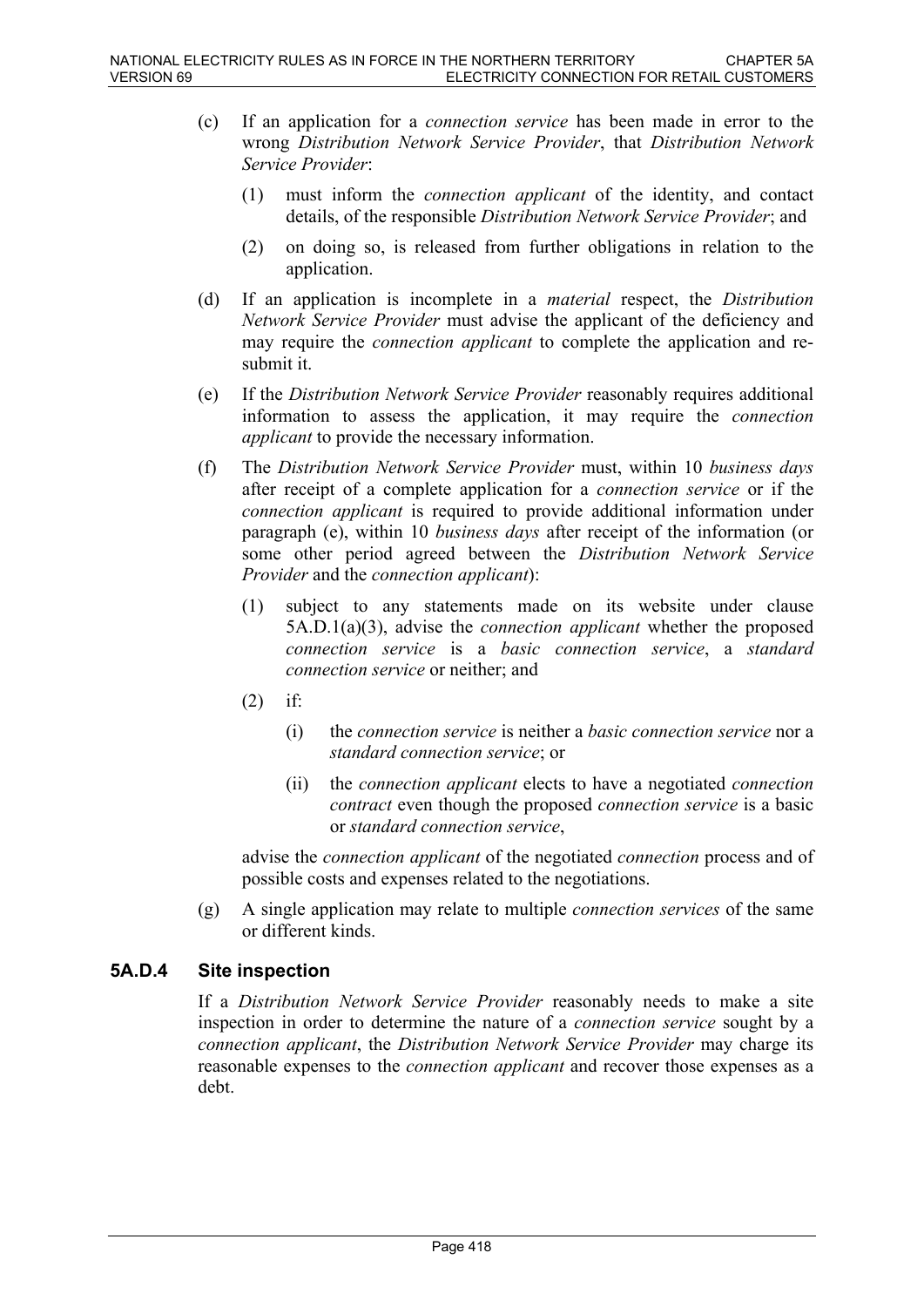- (c) If an application for a *connection service* has been made in error to the wrong *Distribution Network Service Provider*, that *Distribution Network Service Provider*:
	- (1) must inform the *connection applicant* of the identity, and contact details, of the responsible *Distribution Network Service Provider*; and
	- (2) on doing so, is released from further obligations in relation to the application.
- (d) If an application is incomplete in a *material* respect, the *Distribution Network Service Provider* must advise the applicant of the deficiency and may require the *connection applicant* to complete the application and resubmit it.
- (e) If the *Distribution Network Service Provider* reasonably requires additional information to assess the application, it may require the *connection applicant* to provide the necessary information.
- (f) The *Distribution Network Service Provider* must, within 10 *business days* after receipt of a complete application for a *connection service* or if the *connection applicant* is required to provide additional information under paragraph (e), within 10 *business days* after receipt of the information (or some other period agreed between the *Distribution Network Service Provider* and the *connection applicant*):
	- (1) subject to any statements made on its website under clause 5A.D.1(a)(3), advise the *connection applicant* whether the proposed *connection service* is a *basic connection service*, a *standard connection service* or neither; and
	- $(2)$  if:
		- (i) the *connection service* is neither a *basic connection service* nor a *standard connection service*; or
		- (ii) the *connection applicant* elects to have a negotiated *connection contract* even though the proposed *connection service* is a basic or *standard connection service*,

advise the *connection applicant* of the negotiated *connection* process and of possible costs and expenses related to the negotiations.

(g) A single application may relate to multiple *connection services* of the same or different kinds.

# **5A.D.4 Site inspection**

If a *Distribution Network Service Provider* reasonably needs to make a site inspection in order to determine the nature of a *connection service* sought by a *connection applicant*, the *Distribution Network Service Provider* may charge its reasonable expenses to the *connection applicant* and recover those expenses as a debt.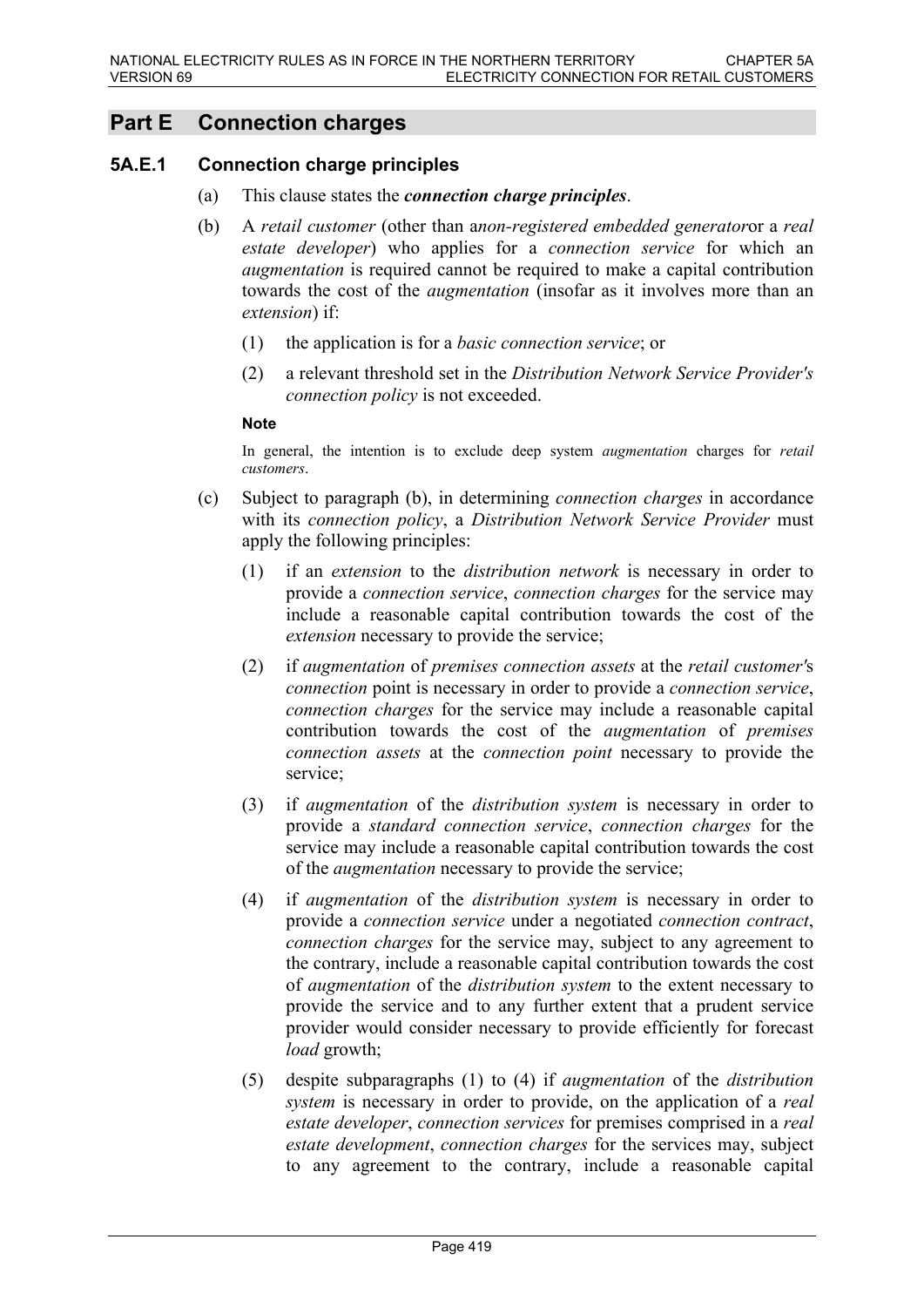# **Part E Connection charges**

### **5A.E.1 Connection charge principles**

- (a) This clause states the *connection charge principles*.
- (b) A *retail customer* (other than a*non-registered embedded generator*or a *real estate developer*) who applies for a *connection service* for which an *augmentation* is required cannot be required to make a capital contribution towards the cost of the *augmentation* (insofar as it involves more than an *extension*) if:
	- (1) the application is for a *basic connection service*; or
	- (2) a relevant threshold set in the *Distribution Network Service Provider's connection policy* is not exceeded.

#### **Note**

In general, the intention is to exclude deep system *augmentation* charges for *retail customers*.

- (c) Subject to paragraph (b), in determining *connection charges* in accordance with its *connection policy*, a *Distribution Network Service Provider* must apply the following principles:
	- (1) if an *extension* to the *distribution network* is necessary in order to provide a *connection service*, *connection charges* for the service may include a reasonable capital contribution towards the cost of the *extension* necessary to provide the service;
	- (2) if *augmentation* of *premises connection assets* at the *retail customer'*s *connection* point is necessary in order to provide a *connection service*, *connection charges* for the service may include a reasonable capital contribution towards the cost of the *augmentation* of *premises connection assets* at the *connection point* necessary to provide the service;
	- (3) if *augmentation* of the *distribution system* is necessary in order to provide a *standard connection service*, *connection charges* for the service may include a reasonable capital contribution towards the cost of the *augmentation* necessary to provide the service;
	- (4) if *augmentation* of the *distribution system* is necessary in order to provide a *connection service* under a negotiated *connection contract*, *connection charges* for the service may, subject to any agreement to the contrary, include a reasonable capital contribution towards the cost of *augmentation* of the *distribution system* to the extent necessary to provide the service and to any further extent that a prudent service provider would consider necessary to provide efficiently for forecast *load* growth;
	- (5) despite subparagraphs (1) to (4) if *augmentation* of the *distribution system* is necessary in order to provide, on the application of a *real estate developer*, *connection services* for premises comprised in a *real estate development*, *connection charges* for the services may, subject to any agreement to the contrary, include a reasonable capital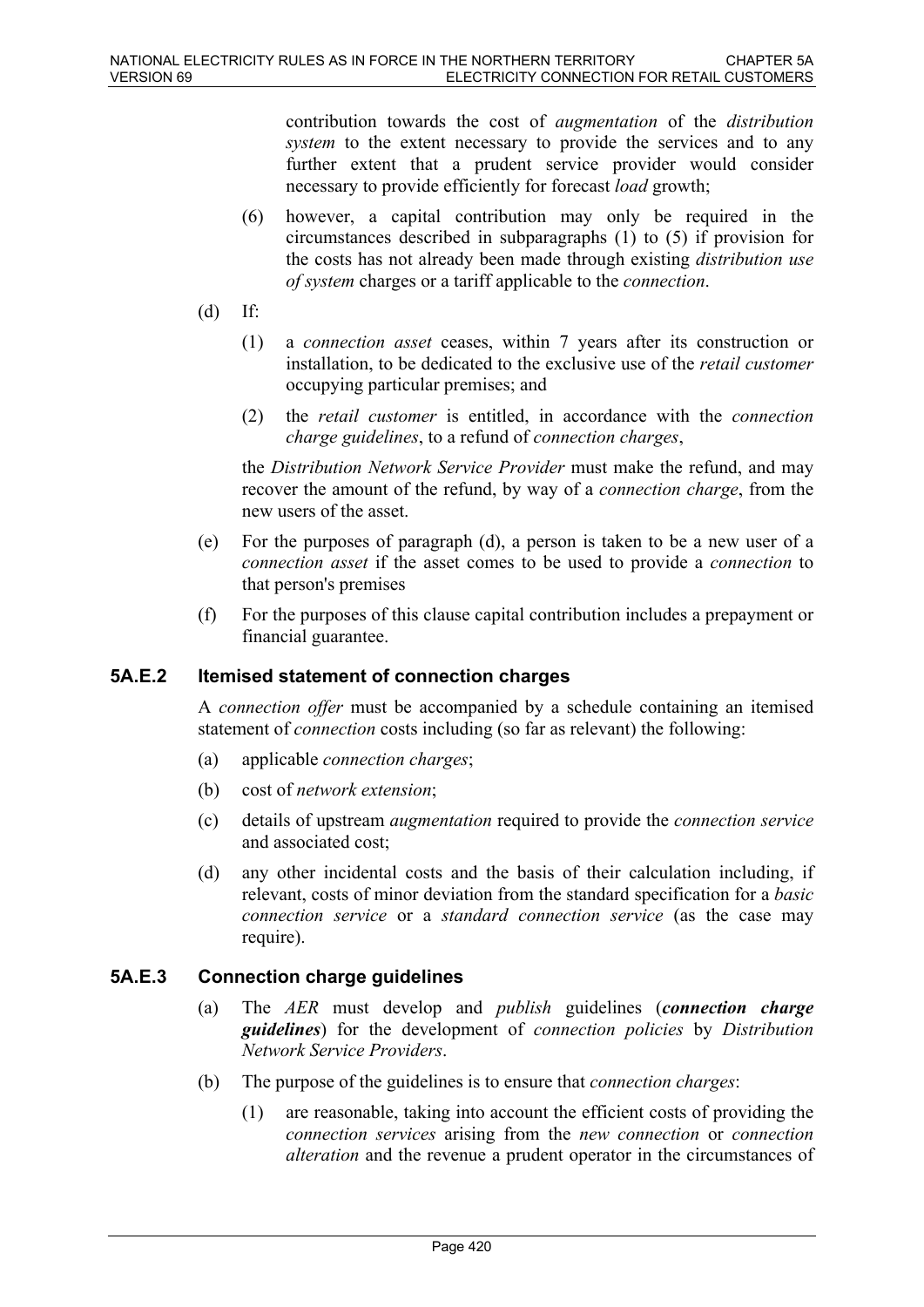contribution towards the cost of *augmentation* of the *distribution system* to the extent necessary to provide the services and to any further extent that a prudent service provider would consider necessary to provide efficiently for forecast *load* growth;

- (6) however, a capital contribution may only be required in the circumstances described in subparagraphs (1) to (5) if provision for the costs has not already been made through existing *distribution use of system* charges or a tariff applicable to the *connection*.
- $(d)$  If:
	- (1) a *connection asset* ceases, within 7 years after its construction or installation, to be dedicated to the exclusive use of the *retail customer*  occupying particular premises; and
	- (2) the *retail customer* is entitled, in accordance with the *connection charge guidelines*, to a refund of *connection charges*,

the *Distribution Network Service Provider* must make the refund, and may recover the amount of the refund, by way of a *connection charge*, from the new users of the asset.

- (e) For the purposes of paragraph (d), a person is taken to be a new user of a *connection asset* if the asset comes to be used to provide a *connection* to that person's premises
- (f) For the purposes of this clause capital contribution includes a prepayment or financial guarantee.

# **5A.E.2 Itemised statement of connection charges**

A *connection offer* must be accompanied by a schedule containing an itemised statement of *connection* costs including (so far as relevant) the following:

- (a) applicable *connection charges*;
- (b) cost of *network extension*;
- (c) details of upstream *augmentation* required to provide the *connection service* and associated cost;
- (d) any other incidental costs and the basis of their calculation including, if relevant, costs of minor deviation from the standard specification for a *basic connection service* or a *standard connection service* (as the case may require).

## **5A.E.3 Connection charge guidelines**

- (a) The *AER* must develop and *publish* guidelines (*connection charge guidelines*) for the development of *connection policies* by *Distribution Network Service Providers*.
- (b) The purpose of the guidelines is to ensure that *connection charges*:
	- (1) are reasonable, taking into account the efficient costs of providing the *connection services* arising from the *new connection* or *connection alteration* and the revenue a prudent operator in the circumstances of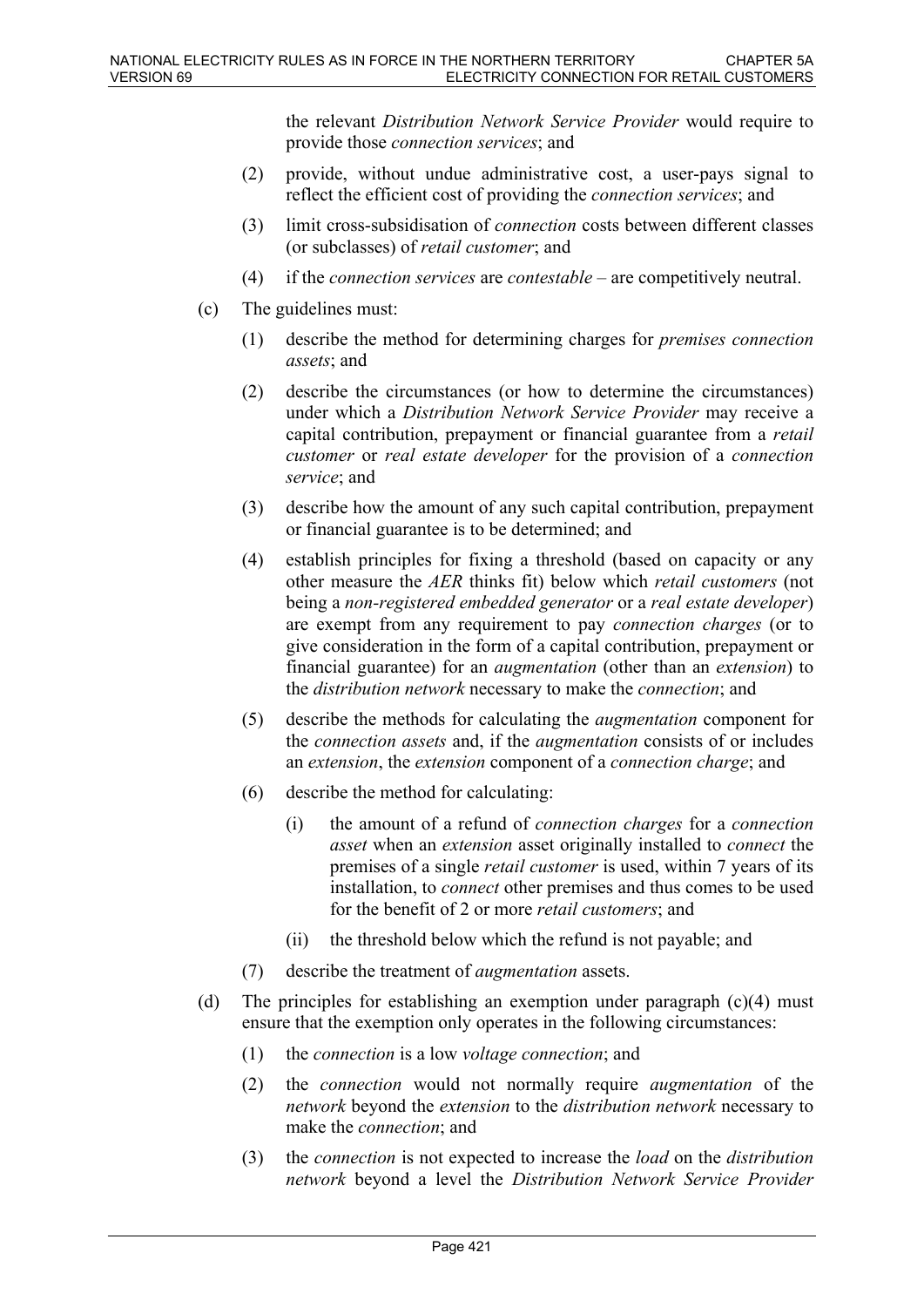the relevant *Distribution Network Service Provider* would require to provide those *connection services*; and

- (2) provide, without undue administrative cost, a user-pays signal to reflect the efficient cost of providing the *connection services*; and
- (3) limit cross-subsidisation of *connection* costs between different classes (or subclasses) of *retail customer*; and
- (4) if the *connection services* are *contestable* are competitively neutral.
- (c) The guidelines must:
	- (1) describe the method for determining charges for *premises connection assets*; and
	- (2) describe the circumstances (or how to determine the circumstances) under which a *Distribution Network Service Provider* may receive a capital contribution, prepayment or financial guarantee from a *retail customer* or *real estate developer* for the provision of a *connection service*; and
	- (3) describe how the amount of any such capital contribution, prepayment or financial guarantee is to be determined; and
	- (4) establish principles for fixing a threshold (based on capacity or any other measure the *AER* thinks fit) below which *retail customers* (not being a *non-registered embedded generator* or a *real estate developer*) are exempt from any requirement to pay *connection charges* (or to give consideration in the form of a capital contribution, prepayment or financial guarantee) for an *augmentation* (other than an *extension*) to the *distribution network* necessary to make the *connection*; and
	- (5) describe the methods for calculating the *augmentation* component for the *connection assets* and, if the *augmentation* consists of or includes an *extension*, the *extension* component of a *connection charge*; and
	- (6) describe the method for calculating:
		- (i) the amount of a refund of *connection charges* for a *connection asset* when an *extension* asset originally installed to *connect* the premises of a single *retail customer* is used, within 7 years of its installation, to *connect* other premises and thus comes to be used for the benefit of 2 or more *retail customers*; and
		- (ii) the threshold below which the refund is not payable; and
	- (7) describe the treatment of *augmentation* assets.
- (d) The principles for establishing an exemption under paragraph  $(c)(4)$  must ensure that the exemption only operates in the following circumstances:
	- (1) the *connection* is a low *voltage connection*; and
	- (2) the *connection* would not normally require *augmentation* of the *network* beyond the *extension* to the *distribution network* necessary to make the *connection*; and
	- (3) the *connection* is not expected to increase the *load* on the *distribution network* beyond a level the *Distribution Network Service Provider*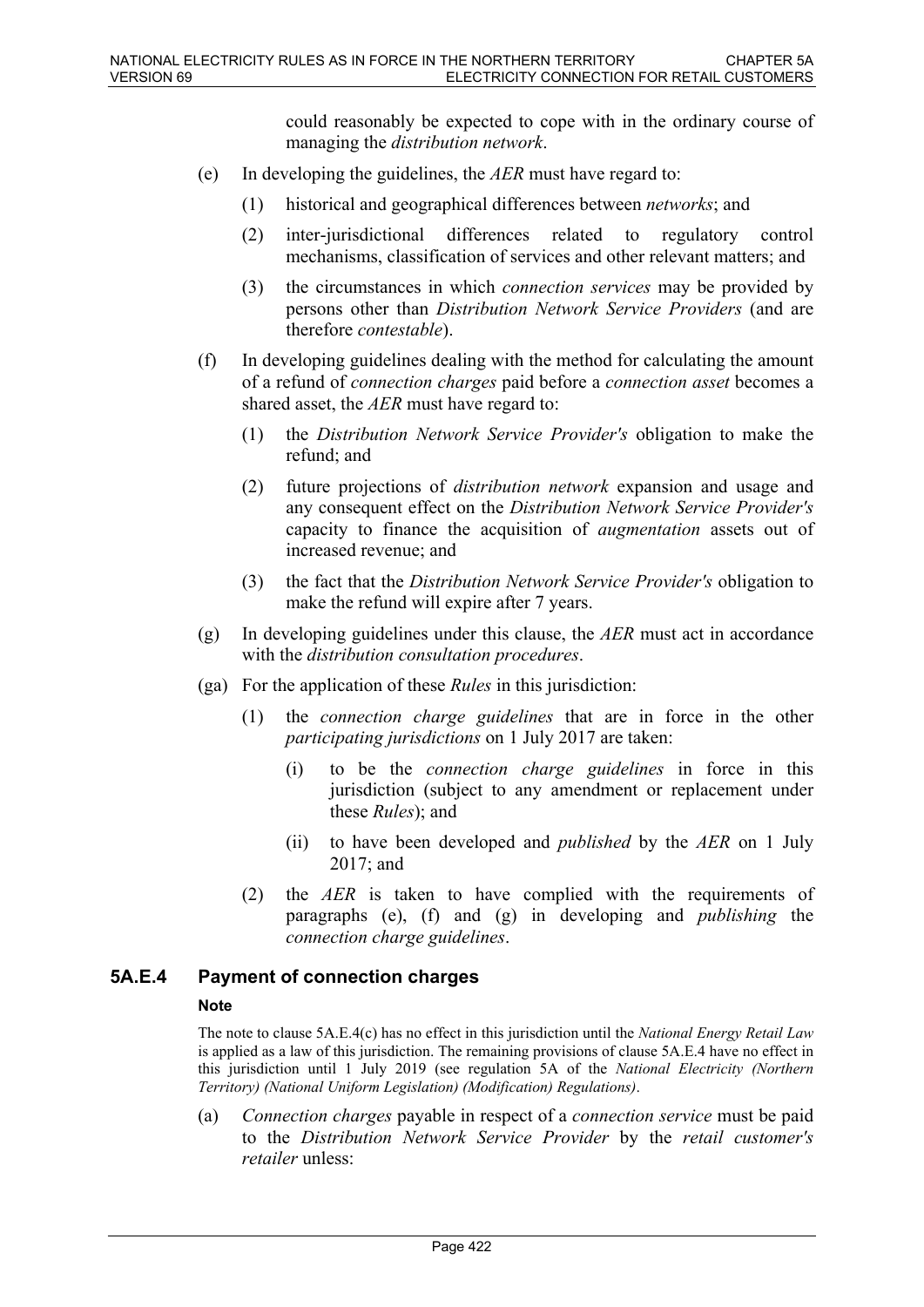could reasonably be expected to cope with in the ordinary course of managing the *distribution network*.

- (e) In developing the guidelines, the *AER* must have regard to:
	- (1) historical and geographical differences between *networks*; and
	- (2) inter-jurisdictional differences related to regulatory control mechanisms, classification of services and other relevant matters; and
	- (3) the circumstances in which *connection services* may be provided by persons other than *Distribution Network Service Providers* (and are therefore *contestable*).
- (f) In developing guidelines dealing with the method for calculating the amount of a refund of *connection charges* paid before a *connection asset* becomes a shared asset, the *AER* must have regard to:
	- (1) the *Distribution Network Service Provider's* obligation to make the refund; and
	- (2) future projections of *distribution network* expansion and usage and any consequent effect on the *Distribution Network Service Provider's* capacity to finance the acquisition of *augmentation* assets out of increased revenue; and
	- (3) the fact that the *Distribution Network Service Provider's* obligation to make the refund will expire after 7 years.
- (g) In developing guidelines under this clause, the *AER* must act in accordance with the *distribution consultation procedures*.
- (ga) For the application of these *Rules* in this jurisdiction:
	- (1) the *connection charge guidelines* that are in force in the other *participating jurisdictions* on 1 July 2017 are taken:
		- (i) to be the *connection charge guidelines* in force in this jurisdiction (subject to any amendment or replacement under these *Rules*); and
		- (ii) to have been developed and *published* by the *AER* on 1 July 2017; and
	- (2) the *AER* is taken to have complied with the requirements of paragraphs (e), (f) and (g) in developing and *publishing* the *connection charge guidelines*.

### **5A.E.4 Payment of connection charges**

#### **Note**

The note to clause 5A.E.4(c) has no effect in this jurisdiction until the *National Energy Retail Law* is applied as a law of this jurisdiction. The remaining provisions of clause 5A.E.4 have no effect in this jurisdiction until 1 July 2019 (see regulation 5A of the *National Electricity (Northern Territory) (National Uniform Legislation) (Modification) Regulations)*.

(a) *Connection charges* payable in respect of a *connection service* must be paid to the *Distribution Network Service Provider* by the *retail customer's retailer* unless: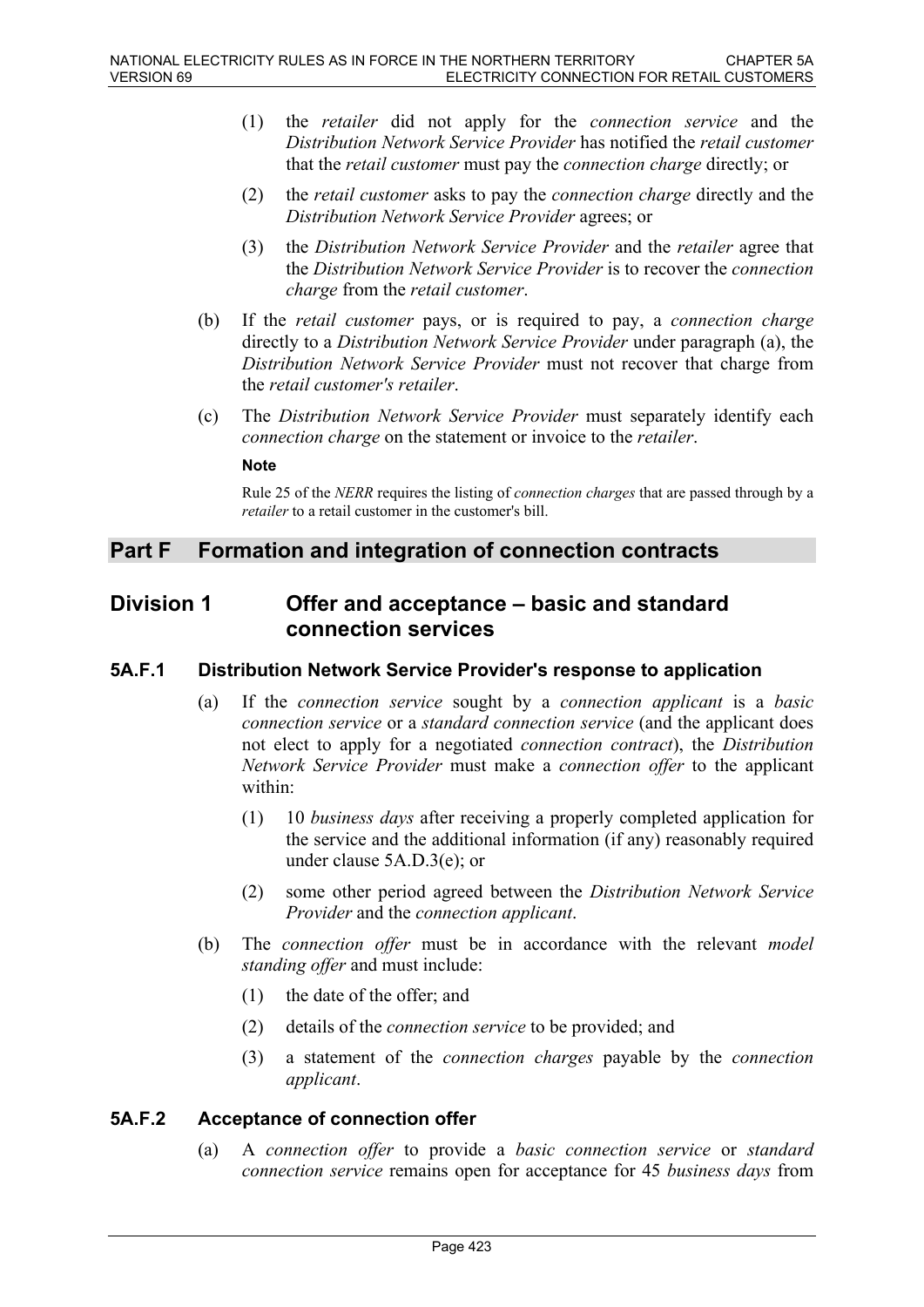- (1) the *retailer* did not apply for the *connection service* and the *Distribution Network Service Provider* has notified the *retail customer*  that the *retail customer* must pay the *connection charge* directly; or
- (2) the *retail customer* asks to pay the *connection charge* directly and the *Distribution Network Service Provider* agrees; or
- (3) the *Distribution Network Service Provider* and the *retailer* agree that the *Distribution Network Service Provider* is to recover the *connection charge* from the *retail customer*.
- (b) If the *retail customer* pays, or is required to pay, a *connection charge* directly to a *Distribution Network Service Provider* under paragraph (a), the *Distribution Network Service Provider* must not recover that charge from the *retail customer's retailer*.
- (c) The *Distribution Network Service Provider* must separately identify each *connection charge* on the statement or invoice to the *retailer*.

#### **Note**

Rule 25 of the *NERR* requires the listing of *connection charges* that are passed through by a *retailer* to a retail customer in the customer's bill.

# **Part F Formation and integration of connection contracts**

# **Division 1 Offer and acceptance – basic and standard connection services**

# **5A.F.1 Distribution Network Service Provider's response to application**

- (a) If the *connection service* sought by a *connection applicant* is a *basic connection service* or a *standard connection service* (and the applicant does not elect to apply for a negotiated *connection contract*), the *Distribution Network Service Provider* must make a *connection offer* to the applicant within:
	- (1) 10 *business days* after receiving a properly completed application for the service and the additional information (if any) reasonably required under clause 5A.D.3(e); or
	- (2) some other period agreed between the *Distribution Network Service Provider* and the *connection applicant*.
- (b) The *connection offer* must be in accordance with the relevant *model standing offer* and must include:
	- (1) the date of the offer; and
	- (2) details of the *connection service* to be provided; and
	- (3) a statement of the *connection charges* payable by the *connection applicant*.

### **5A.F.2 Acceptance of connection offer**

(a) A *connection offer* to provide a *basic connection service* or *standard connection service* remains open for acceptance for 45 *business days* from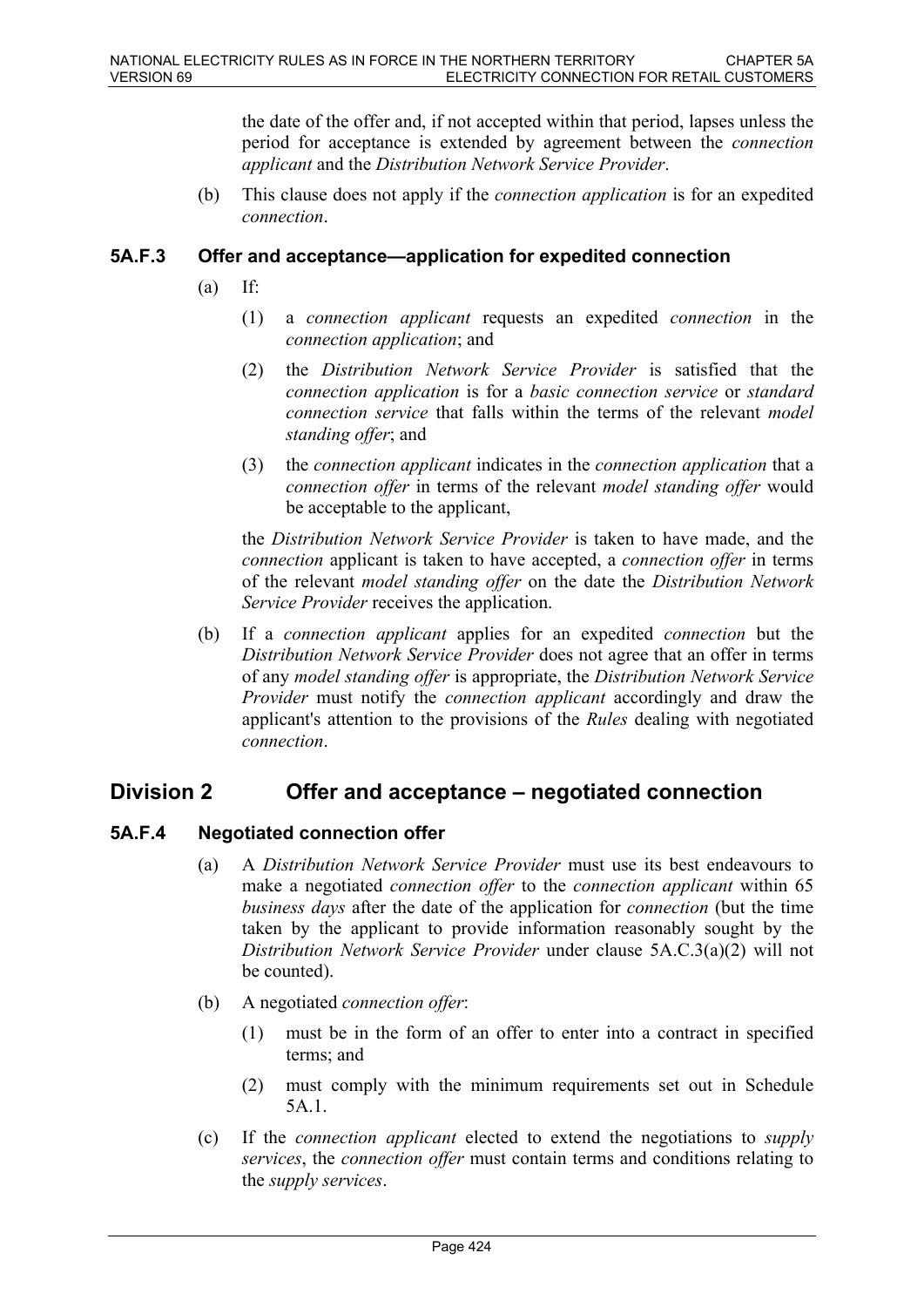the date of the offer and, if not accepted within that period, lapses unless the period for acceptance is extended by agreement between the *connection applicant* and the *Distribution Network Service Provider*.

(b) This clause does not apply if the *connection application* is for an expedited *connection*.

### **5A.F.3 Offer and acceptance—application for expedited connection**

- $(a)$  If:
	- (1) a *connection applicant* requests an expedited *connection* in the *connection application*; and
	- (2) the *Distribution Network Service Provider* is satisfied that the *connection application* is for a *basic connection service* or *standard connection service* that falls within the terms of the relevant *model standing offer*; and
	- (3) the *connection applicant* indicates in the *connection application* that a *connection offer* in terms of the relevant *model standing offer* would be acceptable to the applicant,

the *Distribution Network Service Provider* is taken to have made, and the *connection* applicant is taken to have accepted, a *connection offer* in terms of the relevant *model standing offer* on the date the *Distribution Network Service Provider* receives the application.

(b) If a *connection applicant* applies for an expedited *connection* but the *Distribution Network Service Provider* does not agree that an offer in terms of any *model standing offer* is appropriate, the *Distribution Network Service Provider* must notify the *connection applicant* accordingly and draw the applicant's attention to the provisions of the *Rules* dealing with negotiated *connection*.

# **Division 2 Offer and acceptance – negotiated connection**

## **5A.F.4 Negotiated connection offer**

- (a) A *Distribution Network Service Provider* must use its best endeavours to make a negotiated *connection offer* to the *connection applicant* within 65 *business days* after the date of the application for *connection* (but the time taken by the applicant to provide information reasonably sought by the *Distribution Network Service Provider* under clause 5A.C.3(a)(2) will not be counted).
- (b) A negotiated *connection offer*:
	- (1) must be in the form of an offer to enter into a contract in specified terms; and
	- (2) must comply with the minimum requirements set out in Schedule 5A.1.
- (c) If the *connection applicant* elected to extend the negotiations to *supply services*, the *connection offer* must contain terms and conditions relating to the *supply services*.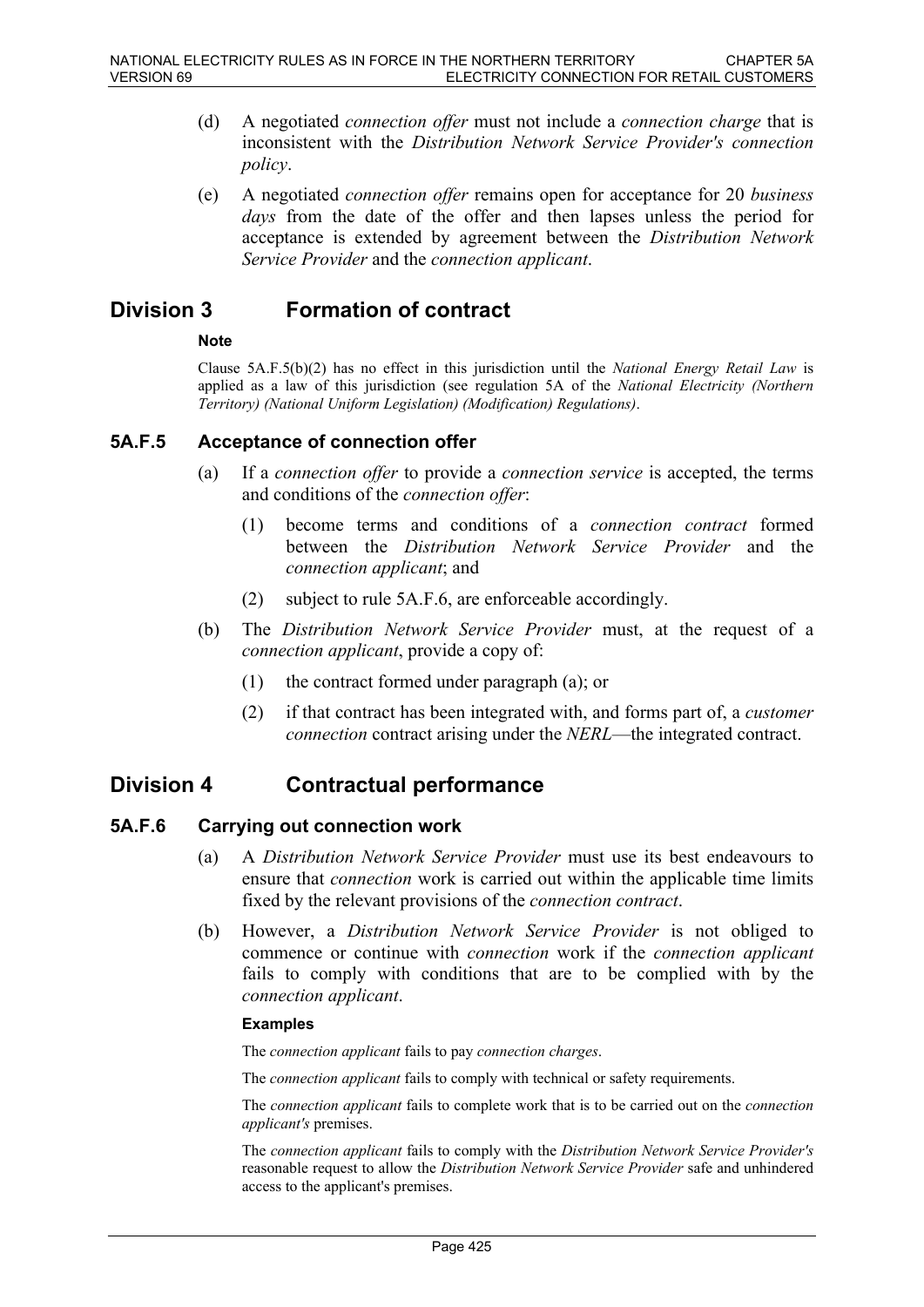- (d) A negotiated *connection offer* must not include a *connection charge* that is inconsistent with the *Distribution Network Service Provider's connection policy*.
- (e) A negotiated *connection offer* remains open for acceptance for 20 *business days* from the date of the offer and then lapses unless the period for acceptance is extended by agreement between the *Distribution Network Service Provider* and the *connection applicant*.

# **Division 3 Formation of contract**

### **Note**

Clause 5A.F.5(b)(2) has no effect in this jurisdiction until the *National Energy Retail Law* is applied as a law of this jurisdiction (see regulation 5A of the *National Electricity (Northern Territory) (National Uniform Legislation) (Modification) Regulations)*.

## **5A.F.5 Acceptance of connection offer**

- (a) If a *connection offer* to provide a *connection service* is accepted, the terms and conditions of the *connection offer*:
	- (1) become terms and conditions of a *connection contract* formed between the *Distribution Network Service Provider* and the *connection applicant*; and
	- (2) subject to rule 5A.F.6, are enforceable accordingly.
- (b) The *Distribution Network Service Provider* must, at the request of a *connection applicant*, provide a copy of:
	- (1) the contract formed under paragraph (a); or
	- (2) if that contract has been integrated with, and forms part of, a *customer connection* contract arising under the *NERL*—the integrated contract.

# **Division 4 Contractual performance**

## **5A.F.6 Carrying out connection work**

- (a) A *Distribution Network Service Provider* must use its best endeavours to ensure that *connection* work is carried out within the applicable time limits fixed by the relevant provisions of the *connection contract*.
- (b) However, a *Distribution Network Service Provider* is not obliged to commence or continue with *connection* work if the *connection applicant* fails to comply with conditions that are to be complied with by the *connection applicant*.

### **Examples**

The *connection applicant* fails to pay *connection charges*.

The *connection applicant* fails to comply with technical or safety requirements.

The *connection applicant* fails to complete work that is to be carried out on the *connection applicant's* premises.

The *connection applicant* fails to comply with the *Distribution Network Service Provider's* reasonable request to allow the *Distribution Network Service Provider* safe and unhindered access to the applicant's premises.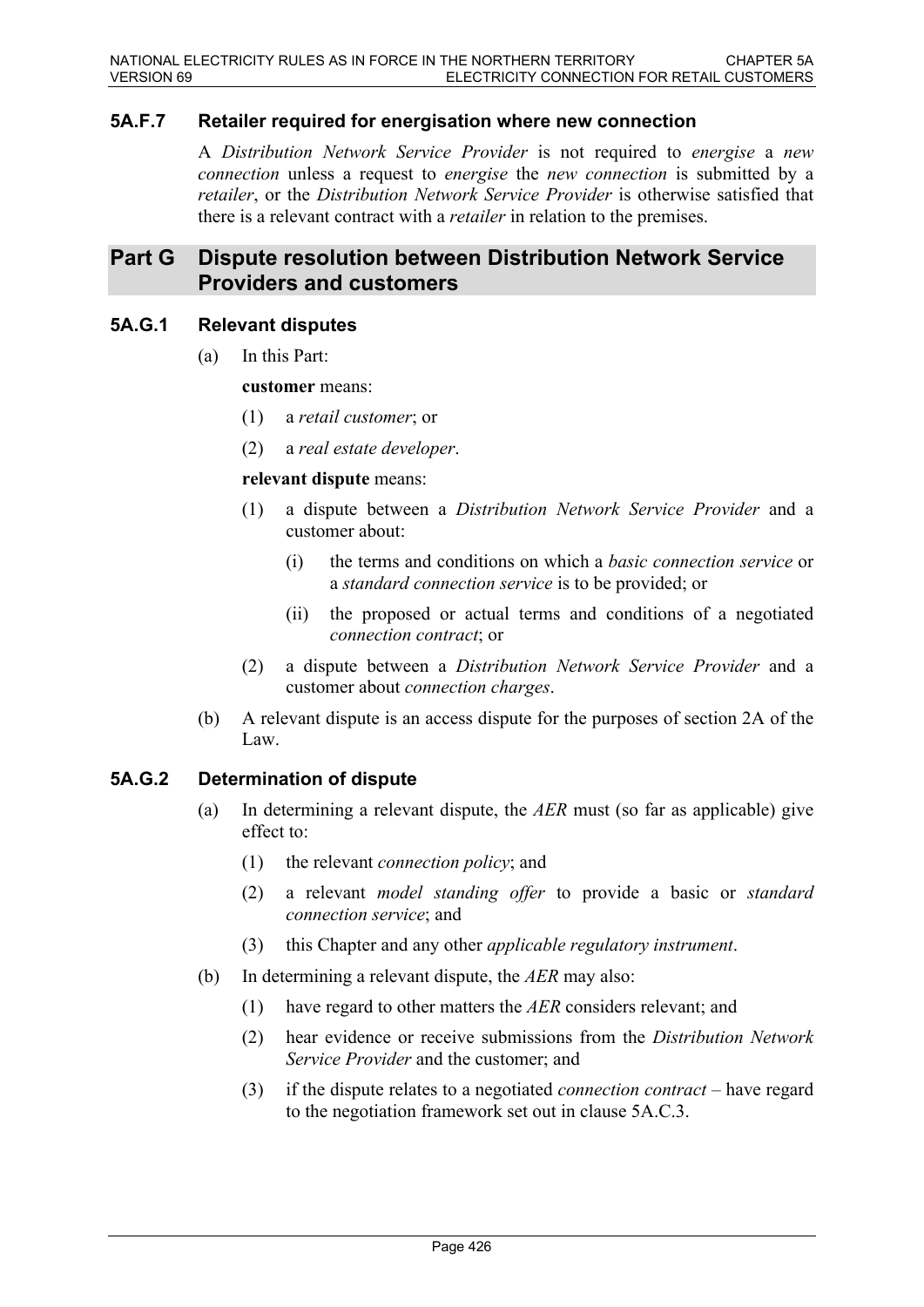# **5A.F.7 Retailer required for energisation where new connection**

A *Distribution Network Service Provider* is not required to *energise* a *new connection* unless a request to *energise* the *new connection* is submitted by a *retailer*, or the *Distribution Network Service Provider* is otherwise satisfied that there is a relevant contract with a *retailer* in relation to the premises.

# **Part G Dispute resolution between Distribution Network Service Providers and customers**

### **5A.G.1 Relevant disputes**

(a) In this Part:

**customer** means:

- (1) a *retail customer*; or
- (2) a *real estate developer*.

#### **relevant dispute** means:

- (1) a dispute between a *Distribution Network Service Provider* and a customer about:
	- (i) the terms and conditions on which a *basic connection service* or a *standard connection service* is to be provided; or
	- (ii) the proposed or actual terms and conditions of a negotiated *connection contract*; or
- (2) a dispute between a *Distribution Network Service Provider* and a customer about *connection charges*.
- (b) A relevant dispute is an access dispute for the purposes of section 2A of the Law.

## **5A.G.2 Determination of dispute**

- (a) In determining a relevant dispute, the *AER* must (so far as applicable) give effect to:
	- (1) the relevant *connection policy*; and
	- (2) a relevant *model standing offer* to provide a basic or *standard connection service*; and
	- (3) this Chapter and any other *applicable regulatory instrument*.
- (b) In determining a relevant dispute, the *AER* may also:
	- (1) have regard to other matters the *AER* considers relevant; and
	- (2) hear evidence or receive submissions from the *Distribution Network Service Provider* and the customer; and
	- (3) if the dispute relates to a negotiated *connection contract* have regard to the negotiation framework set out in clause 5A.C.3.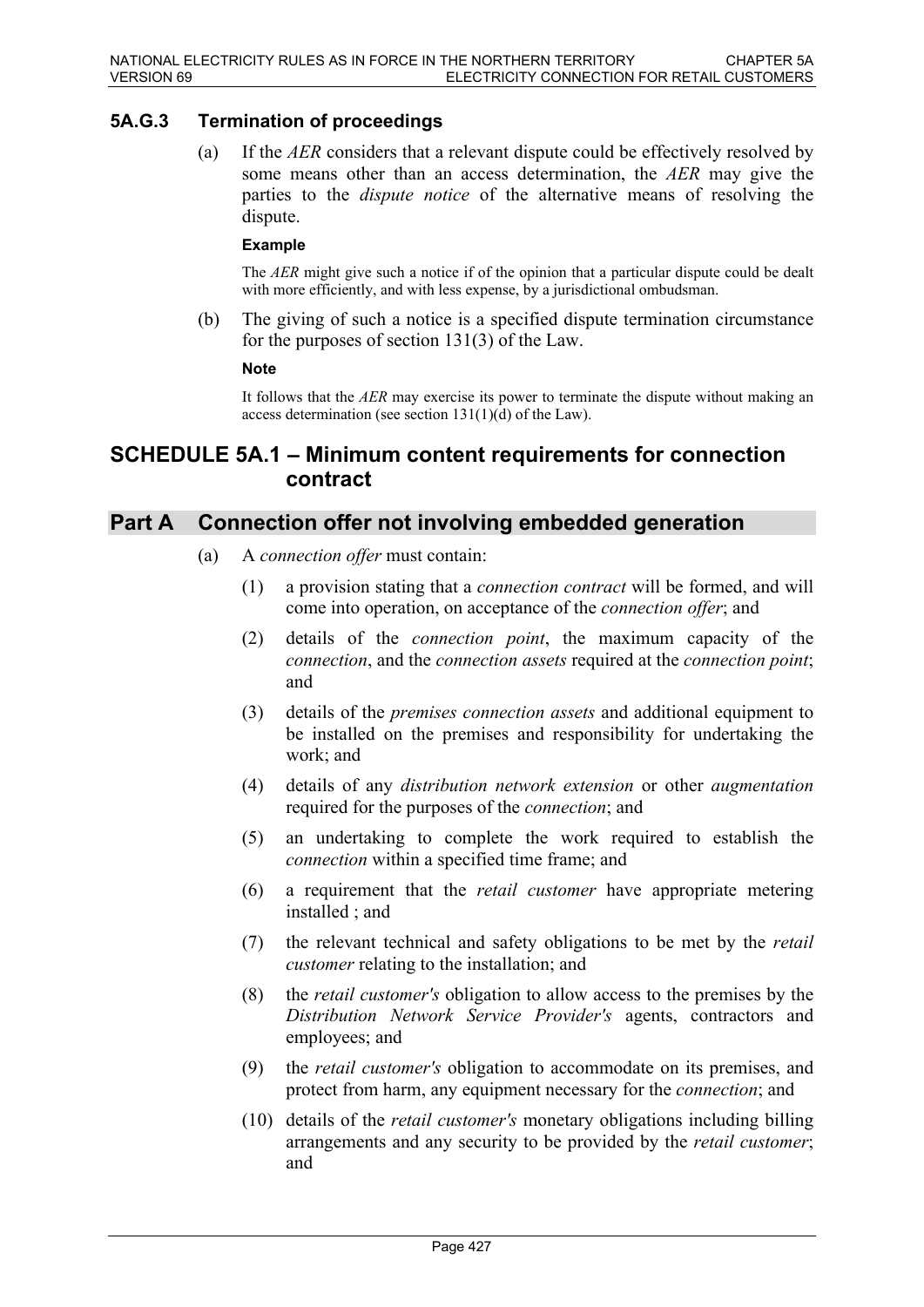# **5A.G.3 Termination of proceedings**

(a) If the *AER* considers that a relevant dispute could be effectively resolved by some means other than an access determination, the *AER* may give the parties to the *dispute notice* of the alternative means of resolving the dispute.

#### **Example**

The *AER* might give such a notice if of the opinion that a particular dispute could be dealt with more efficiently, and with less expense, by a jurisdictional ombudsman.

(b) The giving of such a notice is a specified dispute termination circumstance for the purposes of section 131(3) of the Law.

#### **Note**

It follows that the *AER* may exercise its power to terminate the dispute without making an access determination (see section 131(1)(d) of the Law).

# **SCHEDULE 5A.1 – Minimum content requirements for connection contract**

# **Part A Connection offer not involving embedded generation**

- (a) A *connection offer* must contain:
	- (1) a provision stating that a *connection contract* will be formed, and will come into operation, on acceptance of the *connection offer*; and
	- (2) details of the *connection point*, the maximum capacity of the *connection*, and the *connection assets* required at the *connection point*; and
	- (3) details of the *premises connection assets* and additional equipment to be installed on the premises and responsibility for undertaking the work; and
	- (4) details of any *distribution network extension* or other *augmentation* required for the purposes of the *connection*; and
	- (5) an undertaking to complete the work required to establish the *connection* within a specified time frame; and
	- (6) a requirement that the *retail customer* have appropriate metering installed ; and
	- (7) the relevant technical and safety obligations to be met by the *retail customer* relating to the installation; and
	- (8) the *retail customer's* obligation to allow access to the premises by the *Distribution Network Service Provider's* agents, contractors and employees; and
	- (9) the *retail customer's* obligation to accommodate on its premises, and protect from harm, any equipment necessary for the *connection*; and
	- (10) details of the *retail customer's* monetary obligations including billing arrangements and any security to be provided by the *retail customer*; and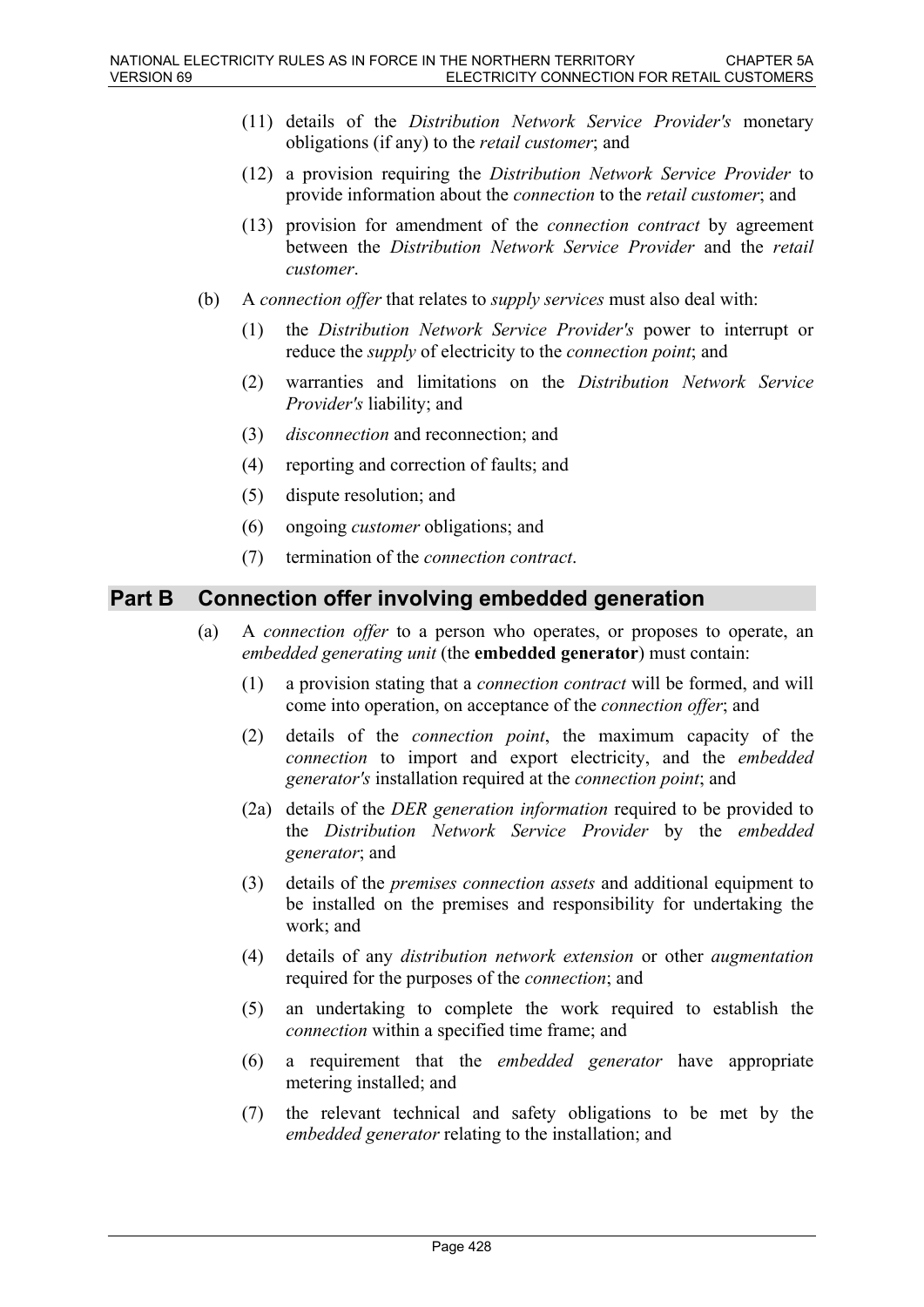- (11) details of the *Distribution Network Service Provider's* monetary obligations (if any) to the *retail customer*; and
- (12) a provision requiring the *Distribution Network Service Provider* to provide information about the *connection* to the *retail customer*; and
- (13) provision for amendment of the *connection contract* by agreement between the *Distribution Network Service Provider* and the *retail customer*.
- (b) A *connection offer* that relates to *supply services* must also deal with:
	- (1) the *Distribution Network Service Provider's* power to interrupt or reduce the *supply* of electricity to the *connection point*; and
	- (2) warranties and limitations on the *Distribution Network Service Provider's* liability; and
	- (3) *disconnection* and reconnection; and
	- (4) reporting and correction of faults; and
	- (5) dispute resolution; and
	- (6) ongoing *customer* obligations; and
	- (7) termination of the *connection contract*.

# **Part B Connection offer involving embedded generation**

- (a) A *connection offer* to a person who operates, or proposes to operate, an *embedded generating unit* (the **embedded generator**) must contain:
	- (1) a provision stating that a *connection contract* will be formed, and will come into operation, on acceptance of the *connection offer*; and
	- (2) details of the *connection point*, the maximum capacity of the *connection* to import and export electricity, and the *embedded generator's* installation required at the *connection point*; and
	- (2a) details of the *DER generation information* required to be provided to the *Distribution Network Service Provider* by the *embedded generator*; and
	- (3) details of the *premises connection assets* and additional equipment to be installed on the premises and responsibility for undertaking the work; and
	- (4) details of any *distribution network extension* or other *augmentation* required for the purposes of the *connection*; and
	- (5) an undertaking to complete the work required to establish the *connection* within a specified time frame; and
	- (6) a requirement that the *embedded generator* have appropriate metering installed; and
	- (7) the relevant technical and safety obligations to be met by the *embedded generator* relating to the installation; and